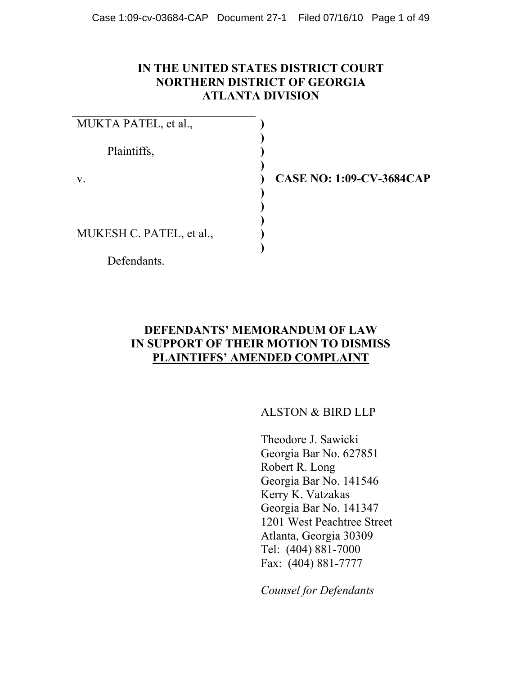#### **IN THE UNITED STATES DISTRICT COURT NORTHERN DISTRICT OF GEORGIA ATLANTA DIVISION**

| MUKTA PATEL, et al.,     |  |
|--------------------------|--|
| Plaintiffs,              |  |
| V.                       |  |
|                          |  |
| MUKESH C. PATEL, et al., |  |
| Defendants.              |  |

**CASE NO: 1:09-CV-3684CAP**

### **DEFENDANTS' MEMORANDUM OF LAW IN SUPPORT OF THEIR MOTION TO DISMISS PLAINTIFFS' AMENDED COMPLAINT**

ALSTON & BIRD LLP

Theodore J. Sawicki Georgia Bar No. 627851 Robert R. Long Georgia Bar No. 141546 Kerry K. Vatzakas Georgia Bar No. 141347 1201 West Peachtree Street Atlanta, Georgia 30309 Tel: (404) 881-7000 Fax: (404) 881-7777

*Counsel for Defendants*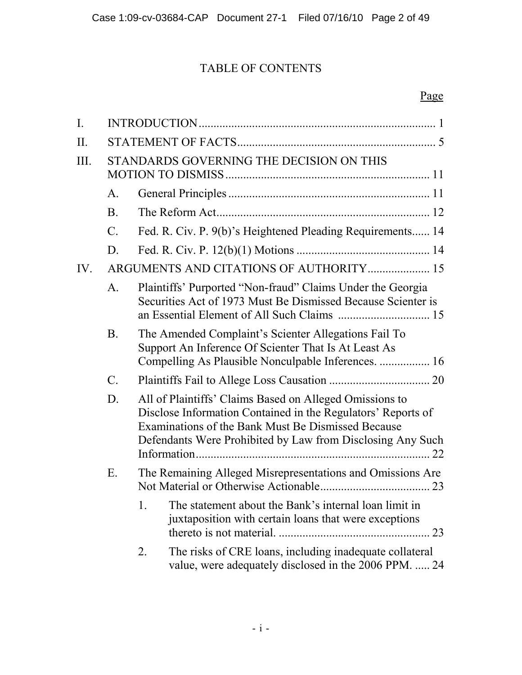# TABLE OF CONTENTS

# Page

| I.   |                                          |                                                                                                                                                                                                                                             |  |  |  |
|------|------------------------------------------|---------------------------------------------------------------------------------------------------------------------------------------------------------------------------------------------------------------------------------------------|--|--|--|
| II.  |                                          |                                                                                                                                                                                                                                             |  |  |  |
| III. | STANDARDS GOVERNING THE DECISION ON THIS |                                                                                                                                                                                                                                             |  |  |  |
|      | A.                                       |                                                                                                                                                                                                                                             |  |  |  |
|      | <b>B</b> .                               |                                                                                                                                                                                                                                             |  |  |  |
|      | $\mathcal{C}$ .                          | Fed. R. Civ. P. 9(b)'s Heightened Pleading Requirements 14                                                                                                                                                                                  |  |  |  |
|      | D.                                       |                                                                                                                                                                                                                                             |  |  |  |
| IV.  |                                          | ARGUMENTS AND CITATIONS OF AUTHORITY 15                                                                                                                                                                                                     |  |  |  |
|      | A.                                       | Plaintiffs' Purported "Non-fraud" Claims Under the Georgia<br>Securities Act of 1973 Must Be Dismissed Because Scienter is                                                                                                                  |  |  |  |
|      | <b>B</b> .                               | The Amended Complaint's Scienter Allegations Fail To<br>Support An Inference Of Scienter That Is At Least As<br>Compelling As Plausible Nonculpable Inferences.  16                                                                         |  |  |  |
|      | $\mathcal{C}$ .                          |                                                                                                                                                                                                                                             |  |  |  |
|      | D.                                       | All of Plaintiffs' Claims Based on Alleged Omissions to<br>Disclose Information Contained in the Regulators' Reports of<br>Examinations of the Bank Must Be Dismissed Because<br>Defendants Were Prohibited by Law from Disclosing Any Such |  |  |  |
|      | Ε.                                       | The Remaining Alleged Misrepresentations and Omissions Are                                                                                                                                                                                  |  |  |  |
|      |                                          | 1.<br>The statement about the Bank's internal loan limit in<br>juxtaposition with certain loans that were exceptions                                                                                                                        |  |  |  |
|      |                                          | The risks of CRE loans, including inadequate collateral<br>2.<br>value, were adequately disclosed in the 2006 PPM.  24                                                                                                                      |  |  |  |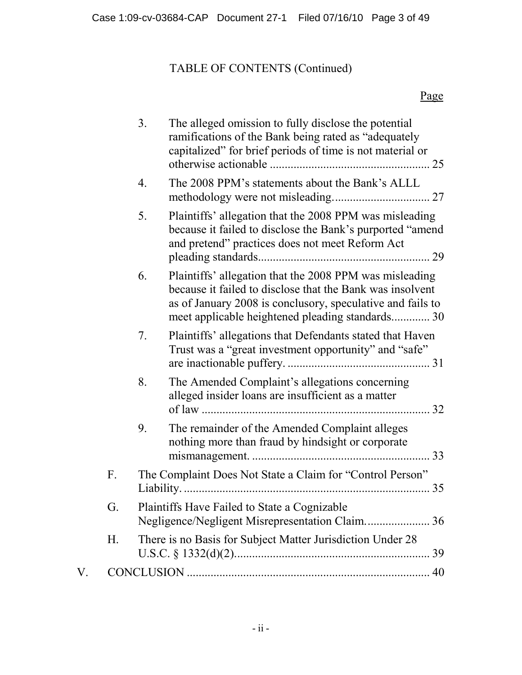# TABLE OF CONTENTS (Continued)

# Page

|                   |    | 3. | The alleged omission to fully disclose the potential<br>ramifications of the Bank being rated as "adequately"<br>capitalized" for brief periods of time is not material or                                                             | 25 |
|-------------------|----|----|----------------------------------------------------------------------------------------------------------------------------------------------------------------------------------------------------------------------------------------|----|
|                   |    | 4. | The 2008 PPM's statements about the Bank's ALLL                                                                                                                                                                                        |    |
|                   |    | 5. | Plaintiffs' allegation that the 2008 PPM was misleading<br>because it failed to disclose the Bank's purported "amend"<br>and pretend" practices does not meet Reform Act                                                               |    |
|                   |    | 6. | Plaintiffs' allegation that the 2008 PPM was misleading<br>because it failed to disclose that the Bank was insolvent<br>as of January 2008 is conclusory, speculative and fails to<br>meet applicable heightened pleading standards 30 |    |
|                   |    | 7. | Plaintiffs' allegations that Defendants stated that Haven<br>Trust was a "great investment opportunity" and "safe"                                                                                                                     |    |
|                   |    | 8. | The Amended Complaint's allegations concerning<br>alleged insider loans are insufficient as a matter                                                                                                                                   |    |
|                   |    | 9. | The remainder of the Amended Complaint alleges<br>nothing more than fraud by hindsight or corporate                                                                                                                                    |    |
|                   | F. |    | The Complaint Does Not State a Claim for "Control Person"                                                                                                                                                                              |    |
|                   | G. |    | Plaintiffs Have Failed to State a Cognizable                                                                                                                                                                                           |    |
|                   | Η. |    | There is no Basis for Subject Matter Jurisdiction Under 28                                                                                                                                                                             |    |
| ${\rm V_{\cdot}}$ |    |    |                                                                                                                                                                                                                                        |    |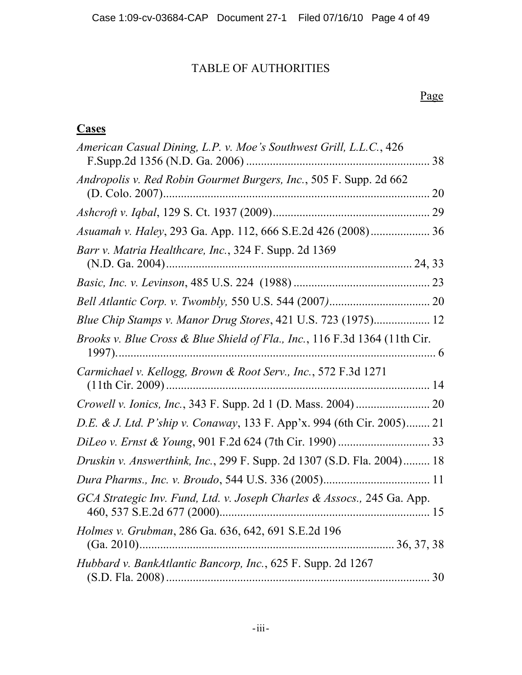# TABLE OF AUTHORITIES

# Page

# **Cases**

| American Casual Dining, L.P. v. Moe's Southwest Grill, L.L.C., 426         |  |
|----------------------------------------------------------------------------|--|
| Andropolis v. Red Robin Gourmet Burgers, Inc., 505 F. Supp. 2d 662         |  |
|                                                                            |  |
| Asuamah v. Haley, 293 Ga. App. 112, 666 S.E.2d 426 (2008) 36               |  |
| Barr v. Matria Healthcare, Inc., 324 F. Supp. 2d 1369                      |  |
|                                                                            |  |
|                                                                            |  |
| Blue Chip Stamps v. Manor Drug Stores, 421 U.S. 723 (1975) 12              |  |
| Brooks v. Blue Cross & Blue Shield of Fla., Inc., 116 F.3d 1364 (11th Cir. |  |
| Carmichael v. Kellogg, Brown & Root Serv., Inc., 572 F.3d 1271             |  |
|                                                                            |  |
| D.E. & J. Ltd. P'ship v. Conaway, 133 F. App'x. 994 (6th Cir. 2005) 21     |  |
|                                                                            |  |
| Druskin v. Answerthink, Inc., 299 F. Supp. 2d 1307 (S.D. Fla. 2004) 18     |  |
|                                                                            |  |
| GCA Strategic Inv. Fund, Ltd. v. Joseph Charles & Assocs., 245 Ga. App.    |  |
| Holmes v. Grubman, 286 Ga. 636, 642, 691 S.E.2d 196                        |  |
| Hubbard v. BankAtlantic Bancorp, Inc., 625 F. Supp. 2d 1267                |  |
|                                                                            |  |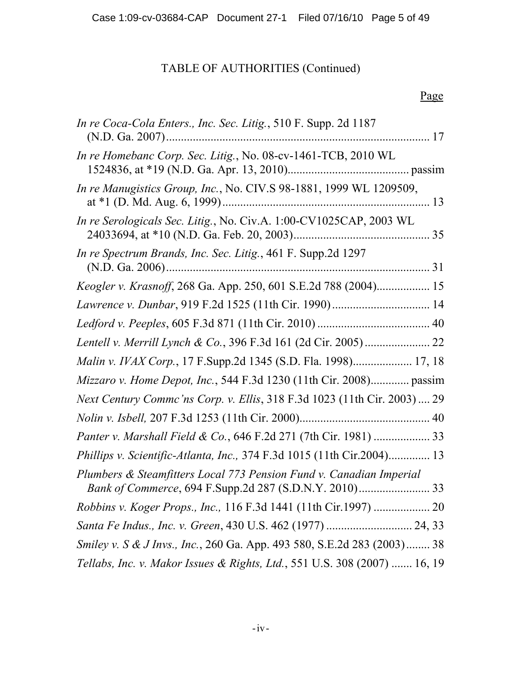# TABLE OF AUTHORITIES (Continued)

## Page

| <i>In re Coca-Cola Enters., Inc. Sec. Litig., 510 F. Supp. 2d 1187</i>    |  |
|---------------------------------------------------------------------------|--|
| In re Homebanc Corp. Sec. Litig., No. 08-cv-1461-TCB, 2010 WL             |  |
| In re Manugistics Group, Inc., No. CIV.S 98-1881, 1999 WL 1209509,        |  |
| In re Serologicals Sec. Litig., No. Civ.A. 1:00-CV1025CAP, 2003 WL        |  |
| In re Spectrum Brands, Inc. Sec. Litig., 461 F. Supp.2d 1297              |  |
| Keogler v. Krasnoff, 268 Ga. App. 250, 601 S.E.2d 788 (2004) 15           |  |
|                                                                           |  |
|                                                                           |  |
|                                                                           |  |
| Malin v. IVAX Corp., 17 F.Supp.2d 1345 (S.D. Fla. 1998) 17, 18            |  |
| Mizzaro v. Home Depot, Inc., 544 F.3d 1230 (11th Cir. 2008) passim        |  |
| Next Century Commc'ns Corp. v. Ellis, 318 F.3d 1023 (11th Cir. 2003)  29  |  |
|                                                                           |  |
| Panter v. Marshall Field & Co., 646 F.2d 271 (7th Cir. 1981)  33          |  |
| Phillips v. Scientific-Atlanta, Inc., 374 F.3d 1015 (11th Cir.2004) 13    |  |
| Plumbers & Steamfitters Local 773 Pension Fund v. Canadian Imperial       |  |
| Robbins v. Koger Props., Inc., 116 F.3d 1441 (11th Cir.1997)  20          |  |
|                                                                           |  |
| Smiley v. S & J Invs., Inc., 260 Ga. App. 493 580, S.E.2d 283 (2003) 38   |  |
| Tellabs, Inc. v. Makor Issues & Rights, Ltd., 551 U.S. 308 (2007)  16, 19 |  |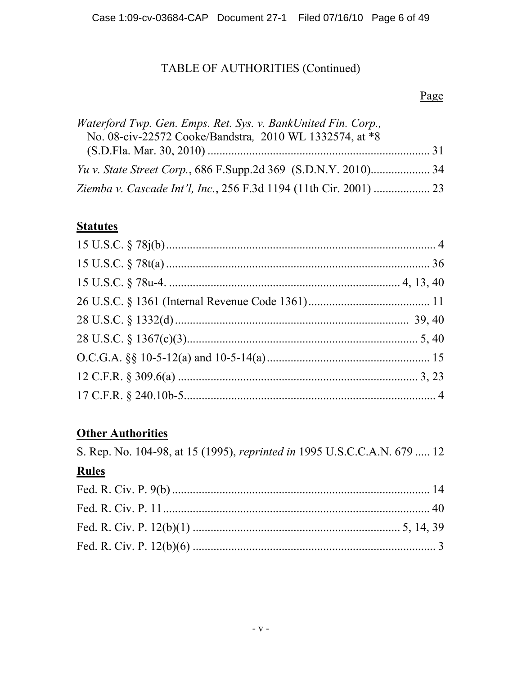# TABLE OF AUTHORITIES (Continued)

## Page

| Waterford Twp. Gen. Emps. Ret. Sys. v. BankUnited Fin. Corp., |  |
|---------------------------------------------------------------|--|
| No. 08-civ-22572 Cooke/Bandstra, 2010 WL 1332574, at *8       |  |
|                                                               |  |
|                                                               |  |
|                                                               |  |

# **Statutes**

# **Other Authorities**

| S. Rep. No. 104-98, at 15 (1995), reprinted in 1995 U.S.C.C.A.N. 679  12 |  |
|--------------------------------------------------------------------------|--|
| <b>Rules</b>                                                             |  |
|                                                                          |  |
|                                                                          |  |
|                                                                          |  |
|                                                                          |  |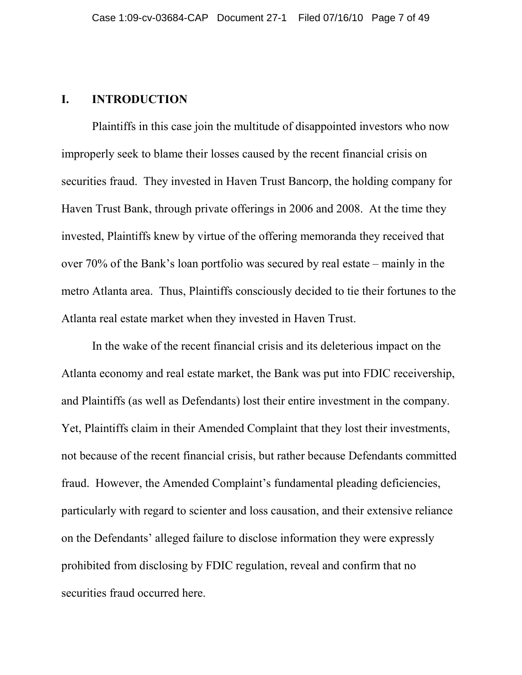#### **I. INTRODUCTION**

Plaintiffs in this case join the multitude of disappointed investors who now improperly seek to blame their losses caused by the recent financial crisis on securities fraud. They invested in Haven Trust Bancorp, the holding company for Haven Trust Bank, through private offerings in 2006 and 2008. At the time they invested, Plaintiffs knew by virtue of the offering memoranda they received that over 70% of the Bank's loan portfolio was secured by real estate – mainly in the metro Atlanta area. Thus, Plaintiffs consciously decided to tie their fortunes to the Atlanta real estate market when they invested in Haven Trust.

In the wake of the recent financial crisis and its deleterious impact on the Atlanta economy and real estate market, the Bank was put into FDIC receivership, and Plaintiffs (as well as Defendants) lost their entire investment in the company. Yet, Plaintiffs claim in their Amended Complaint that they lost their investments, not because of the recent financial crisis, but rather because Defendants committed fraud. However, the Amended Complaint's fundamental pleading deficiencies, particularly with regard to scienter and loss causation, and their extensive reliance on the Defendants' alleged failure to disclose information they were expressly prohibited from disclosing by FDIC regulation, reveal and confirm that no securities fraud occurred here.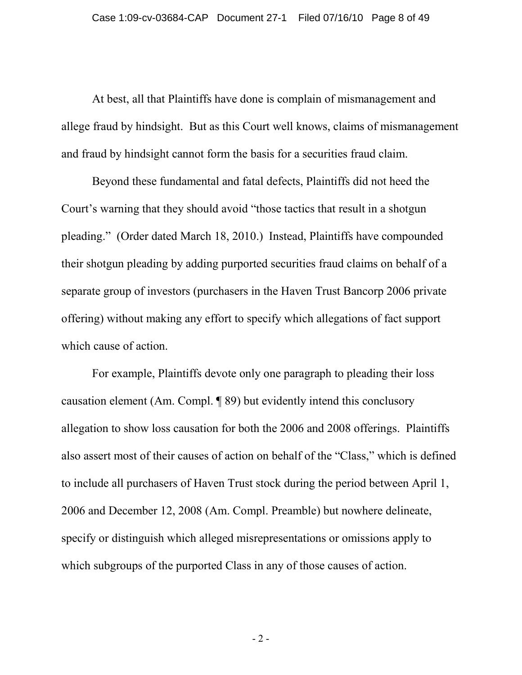At best, all that Plaintiffs have done is complain of mismanagement and allege fraud by hindsight. But as this Court well knows, claims of mismanagement and fraud by hindsight cannot form the basis for a securities fraud claim.

Beyond these fundamental and fatal defects, Plaintiffs did not heed the Court's warning that they should avoid "those tactics that result in a shotgun pleading." (Order dated March 18, 2010.) Instead, Plaintiffs have compounded their shotgun pleading by adding purported securities fraud claims on behalf of a separate group of investors (purchasers in the Haven Trust Bancorp 2006 private offering) without making any effort to specify which allegations of fact support which cause of action.

For example, Plaintiffs devote only one paragraph to pleading their loss causation element (Am. Compl. ¶ 89) but evidently intend this conclusory allegation to show loss causation for both the 2006 and 2008 offerings. Plaintiffs also assert most of their causes of action on behalf of the "Class," which is defined to include all purchasers of Haven Trust stock during the period between April 1, 2006 and December 12, 2008 (Am. Compl. Preamble) but nowhere delineate, specify or distinguish which alleged misrepresentations or omissions apply to which subgroups of the purported Class in any of those causes of action.

 $-2-$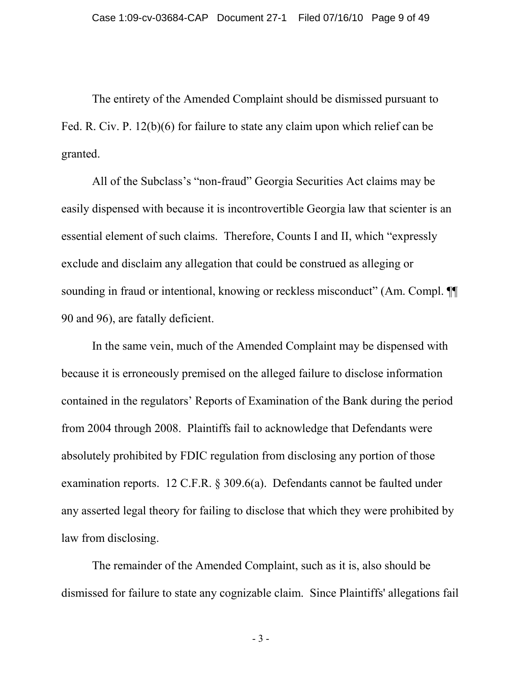The entirety of the Amended Complaint should be dismissed pursuant to Fed. R. Civ. P. 12(b)(6) for failure to state any claim upon which relief can be granted.

All of the Subclass's "non-fraud" Georgia Securities Act claims may be easily dispensed with because it is incontrovertible Georgia law that scienter is an essential element of such claims. Therefore, Counts I and II, which "expressly exclude and disclaim any allegation that could be construed as alleging or sounding in fraud or intentional, knowing or reckless misconduct" (Am. Compl.  $\P$ 90 and 96), are fatally deficient.

In the same vein, much of the Amended Complaint may be dispensed with because it is erroneously premised on the alleged failure to disclose information contained in the regulators' Reports of Examination of the Bank during the period from 2004 through 2008. Plaintiffs fail to acknowledge that Defendants were absolutely prohibited by FDIC regulation from disclosing any portion of those examination reports. 12 C.F.R. § 309.6(a). Defendants cannot be faulted under any asserted legal theory for failing to disclose that which they were prohibited by law from disclosing.

The remainder of the Amended Complaint, such as it is, also should be dismissed for failure to state any cognizable claim. Since Plaintiffs' allegations fail

- 3 -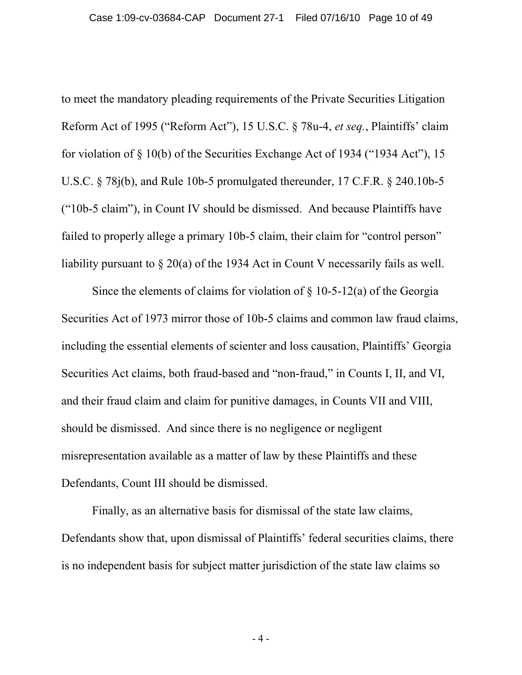to meet the mandatory pleading requirements of the Private Securities Litigation Reform Act of 1995 ("Reform Act"), 15 U.S.C. § 78u-4, *et seq.*, Plaintiffs' claim for violation of § 10(b) of the Securities Exchange Act of 1934 ("1934 Act"), 15 U.S.C. § 78j(b), and Rule 10b-5 promulgated thereunder, 17 C.F.R. § 240.10b-5 ("10b-5 claim"), in Count IV should be dismissed. And because Plaintiffs have failed to properly allege a primary 10b-5 claim, their claim for "control person" liability pursuant to § 20(a) of the 1934 Act in Count V necessarily fails as well.

Since the elements of claims for violation of  $\S$  10-5-12(a) of the Georgia Securities Act of 1973 mirror those of 10b-5 claims and common law fraud claims, including the essential elements of scienter and loss causation, Plaintiffs' Georgia Securities Act claims, both fraud-based and "non-fraud," in Counts I, II, and VI, and their fraud claim and claim for punitive damages, in Counts VII and VIII, should be dismissed. And since there is no negligence or negligent misrepresentation available as a matter of law by these Plaintiffs and these Defendants, Count III should be dismissed.

Finally, as an alternative basis for dismissal of the state law claims, Defendants show that, upon dismissal of Plaintiffs' federal securities claims, there is no independent basis for subject matter jurisdiction of the state law claims so

- 4 -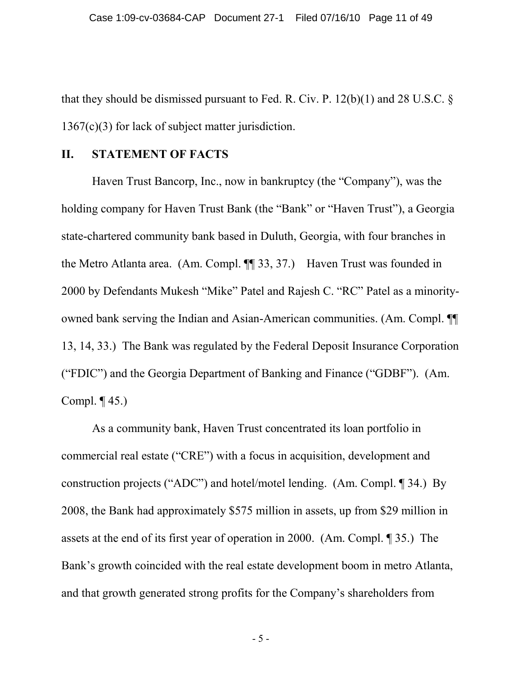that they should be dismissed pursuant to Fed. R. Civ. P.  $12(b)(1)$  and 28 U.S.C. § 1367(c)(3) for lack of subject matter jurisdiction.

#### **II. STATEMENT OF FACTS**

Haven Trust Bancorp, Inc., now in bankruptcy (the "Company"), was the holding company for Haven Trust Bank (the "Bank" or "Haven Trust"), a Georgia state-chartered community bank based in Duluth, Georgia, with four branches in the Metro Atlanta area. (Am. Compl. ¶¶ 33, 37.) Haven Trust was founded in 2000 by Defendants Mukesh "Mike" Patel and Rajesh C. "RC" Patel as a minorityowned bank serving the Indian and Asian-American communities. (Am. Compl. ¶¶ 13, 14, 33.) The Bank was regulated by the Federal Deposit Insurance Corporation ("FDIC") and the Georgia Department of Banking and Finance ("GDBF"). (Am. Compl. ¶ 45.)

As a community bank, Haven Trust concentrated its loan portfolio in commercial real estate ("CRE") with a focus in acquisition, development and construction projects ("ADC") and hotel/motel lending. (Am. Compl. ¶ 34.) By 2008, the Bank had approximately \$575 million in assets, up from \$29 million in assets at the end of its first year of operation in 2000. (Am. Compl. ¶ 35.) The Bank's growth coincided with the real estate development boom in metro Atlanta, and that growth generated strong profits for the Company's shareholders from

- 5 -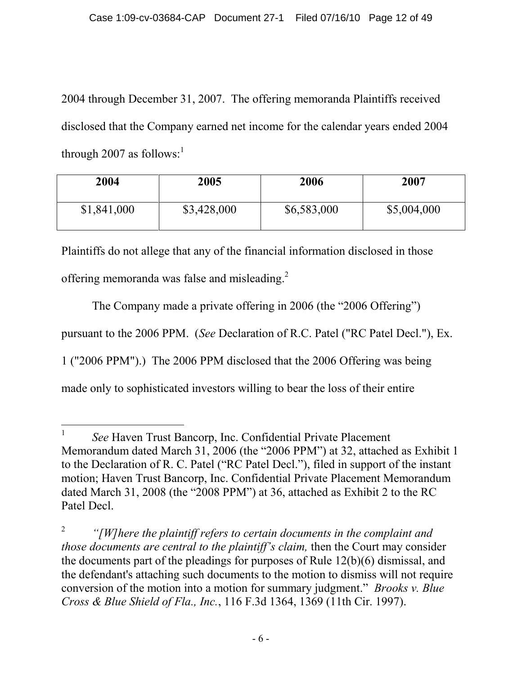2004 through December 31, 2007. The offering memoranda Plaintiffs received disclosed that the Company earned net income for the calendar years ended 2004 through 2007 as follows: $<sup>1</sup>$  $<sup>1</sup>$  $<sup>1</sup>$ </sup>

| 2004        | 2005        | 2006        | 2007        |
|-------------|-------------|-------------|-------------|
| \$1,841,000 | \$3,428,000 | \$6,583,000 | \$5,004,000 |

Plaintiffs do not allege that any of the financial information disclosed in those

offering memoranda was false and misleading.[2](#page-11-1)

The Company made a private offering in 2006 (the "2006 Offering") pursuant to the 2006 PPM. (*See* Declaration of R.C. Patel ("RC Patel Decl."), Ex. 1 ("2006 PPM").) The 2006 PPM disclosed that the 2006 Offering was being made only to sophisticated investors willing to bear the loss of their entire

<span id="page-11-0"></span><sup>1</sup> *See* Haven Trust Bancorp, Inc. Confidential Private Placement Memorandum dated March 31, 2006 (the "2006 PPM") at 32, attached as Exhibit 1 to the Declaration of R. C. Patel ("RC Patel Decl."), filed in support of the instant motion; Haven Trust Bancorp, Inc. Confidential Private Placement Memorandum dated March 31, 2008 (the "2008 PPM") at 36, attached as Exhibit 2 to the RC Patel Decl.

<span id="page-11-1"></span><sup>2</sup> *"[W]here the plaintiff refers to certain documents in the complaint and those documents are central to the plaintiff's claim,* then the Court may consider the documents part of the pleadings for purposes of Rule 12(b)(6) dismissal, and the defendant's attaching such documents to the motion to dismiss will not require conversion of the motion into a motion for summary judgment." *Brooks v. Blue Cross & Blue Shield of Fla., Inc.*, 116 F.3d 1364, 1369 (11th Cir. 1997).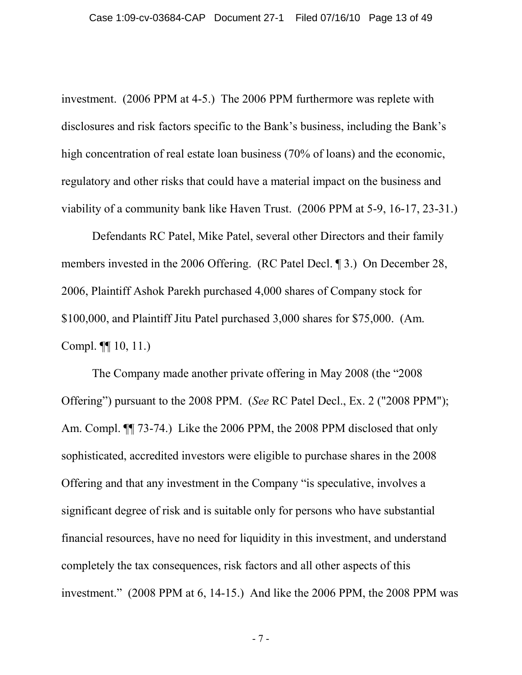investment. (2006 PPM at 4-5.) The 2006 PPM furthermore was replete with disclosures and risk factors specific to the Bank's business, including the Bank's high concentration of real estate loan business (70% of loans) and the economic, regulatory and other risks that could have a material impact on the business and viability of a community bank like Haven Trust. (2006 PPM at 5-9, 16-17, 23-31.)

Defendants RC Patel, Mike Patel, several other Directors and their family members invested in the 2006 Offering. (RC Patel Decl. ¶ 3.) On December 28, 2006, Plaintiff Ashok Parekh purchased 4,000 shares of Company stock for \$100,000, and Plaintiff Jitu Patel purchased 3,000 shares for \$75,000. (Am. Compl. ¶¶ 10, 11.)

The Company made another private offering in May 2008 (the "2008 Offering") pursuant to the 2008 PPM. (*See* RC Patel Decl., Ex. 2 ("2008 PPM"); Am. Compl.  $\P$  73-74.) Like the 2006 PPM, the 2008 PPM disclosed that only sophisticated, accredited investors were eligible to purchase shares in the 2008 Offering and that any investment in the Company "is speculative, involves a significant degree of risk and is suitable only for persons who have substantial financial resources, have no need for liquidity in this investment, and understand completely the tax consequences, risk factors and all other aspects of this investment." (2008 PPM at 6, 14-15.) And like the 2006 PPM, the 2008 PPM was

- 7 -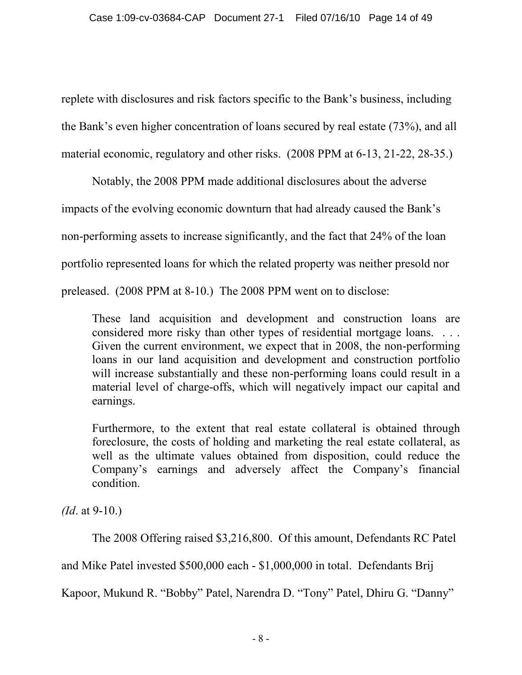replete with disclosures and risk factors specific to the Bank's business, including the Bank's even higher concentration of loans secured by real estate (73%), and all material economic, regulatory and other risks. (2008 PPM at 6-13, 21-22, 28-35.)

Notably, the 2008 PPM made additional disclosures about the adverse impacts of the evolving economic downturn that had already caused the Bank's non-performing assets to increase significantly, and the fact that 24% of the loan portfolio represented loans for which the related property was neither presold nor preleased. (2008 PPM at 8-10.) The 2008 PPM went on to disclose:

These land acquisition and development and construction loans are considered more risky than other types of residential mortgage loans. . . . Given the current environment, we expect that in 2008, the non-performing loans in our land acquisition and development and construction portfolio will increase substantially and these non-performing loans could result in a material level of charge-offs, which will negatively impact our capital and earnings.

Furthermore, to the extent that real estate collateral is obtained through foreclosure, the costs of holding and marketing the real estate collateral, as well as the ultimate values obtained from disposition, could reduce the Company's earnings and adversely affect the Company's financial condition.

*(Id*. at 9-10.)

The 2008 Offering raised \$3,216,800. Of this amount, Defendants RC Patel

and Mike Patel invested \$500,000 each - \$1,000,000 in total. Defendants Brij

Kapoor, Mukund R. "Bobby" Patel, Narendra D. "Tony" Patel, Dhiru G. "Danny"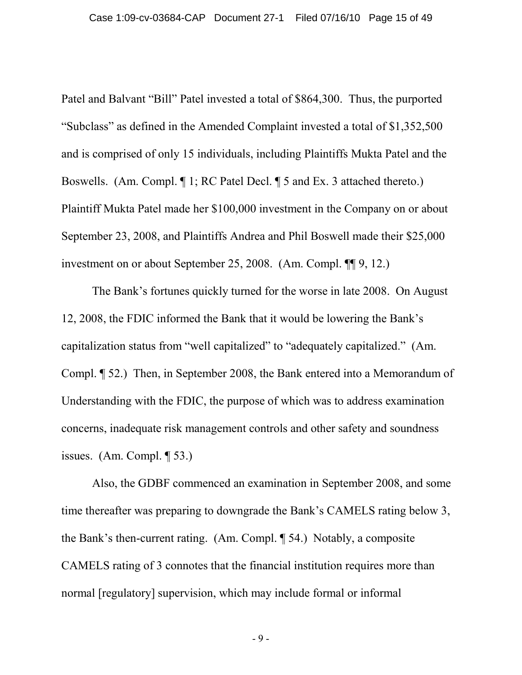Patel and Balvant "Bill" Patel invested a total of \$864,300. Thus, the purported "Subclass" as defined in the Amended Complaint invested a total of \$1,352,500 and is comprised of only 15 individuals, including Plaintiffs Mukta Patel and the Boswells. (Am. Compl. ¶ 1; RC Patel Decl. ¶ 5 and Ex. 3 attached thereto.) Plaintiff Mukta Patel made her \$100,000 investment in the Company on or about September 23, 2008, and Plaintiffs Andrea and Phil Boswell made their \$25,000 investment on or about September 25, 2008. (Am. Compl. ¶¶ 9, 12.)

The Bank's fortunes quickly turned for the worse in late 2008. On August 12, 2008, the FDIC informed the Bank that it would be lowering the Bank's capitalization status from "well capitalized" to "adequately capitalized." (Am. Compl. ¶ 52.) Then, in September 2008, the Bank entered into a Memorandum of Understanding with the FDIC, the purpose of which was to address examination concerns, inadequate risk management controls and other safety and soundness issues. (Am. Compl. ¶ 53.)

Also, the GDBF commenced an examination in September 2008, and some time thereafter was preparing to downgrade the Bank's CAMELS rating below 3, the Bank's then-current rating. (Am. Compl. ¶ 54.) Notably, a composite CAMELS rating of 3 connotes that the financial institution requires more than normal [regulatory] supervision, which may include formal or informal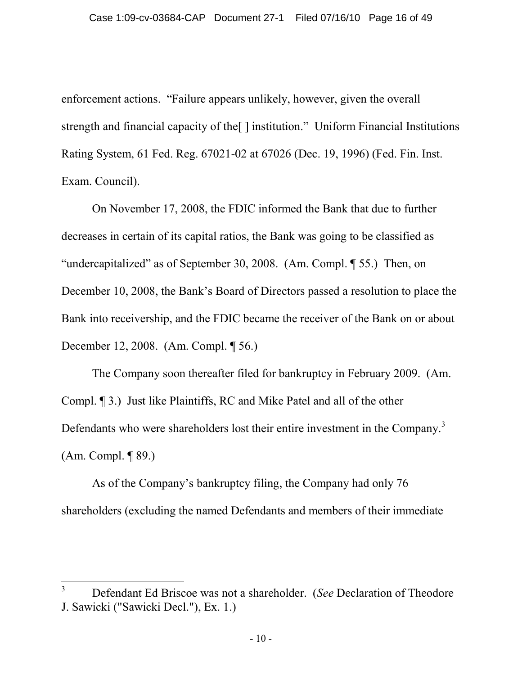enforcement actions. "Failure appears unlikely, however, given the overall strength and financial capacity of the[ ] institution." Uniform Financial Institutions Rating System, 61 Fed. Reg. 67021-02 at 67026 (Dec. 19, 1996) (Fed. Fin. Inst. Exam. Council).

On November 17, 2008, the FDIC informed the Bank that due to further decreases in certain of its capital ratios, the Bank was going to be classified as "undercapitalized" as of September 30, 2008. (Am. Compl. ¶ 55.) Then, on December 10, 2008, the Bank's Board of Directors passed a resolution to place the Bank into receivership, and the FDIC became the receiver of the Bank on or about December 12, 2008. (Am. Compl. ¶ 56.)

The Company soon thereafter filed for bankruptcy in February 2009. (Am. Compl. ¶ 3.) Just like Plaintiffs, RC and Mike Patel and all of the other Defendants who were shareholders lost their entire investment in the Company.<sup>[3](#page-15-0)</sup> (Am. Compl. ¶ 89.)

As of the Company's bankruptcy filing, the Company had only 76 shareholders (excluding the named Defendants and members of their immediate

<span id="page-15-0"></span><sup>3</sup> Defendant Ed Briscoe was not a shareholder. (*See* Declaration of Theodore J. Sawicki ("Sawicki Decl."), Ex. 1.)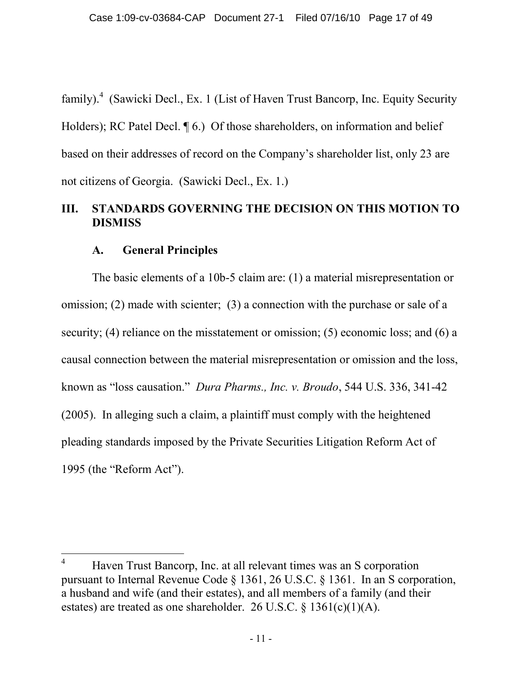family).<sup>[4](#page-16-0)</sup> (Sawicki Decl., Ex. 1 (List of Haven Trust Bancorp, Inc. Equity Security Holders); RC Patel Decl.  $\P$  6.) Of those shareholders, on information and belief based on their addresses of record on the Company's shareholder list, only 23 are not citizens of Georgia. (Sawicki Decl., Ex. 1.)

# **III. STANDARDS GOVERNING THE DECISION ON THIS MOTION TO DISMISS**

### **A. General Principles**

The basic elements of a 10b-5 claim are: (1) a material misrepresentation or omission; (2) made with scienter; (3) a connection with the purchase or sale of a security; (4) reliance on the misstatement or omission; (5) economic loss; and (6) a causal connection between the material misrepresentation or omission and the loss, known as "loss causation." *Dura Pharms., Inc. v. Broudo*, 544 U.S. 336, 341-42 (2005). In alleging such a claim, a plaintiff must comply with the heightened pleading standards imposed by the Private Securities Litigation Reform Act of 1995 (the "Reform Act").

<span id="page-16-0"></span><sup>&</sup>lt;sup>4</sup> Haven Trust Bancorp, Inc. at all relevant times was an S corporation pursuant to Internal Revenue Code § 1361, 26 U.S.C. § 1361. In an S corporation, a husband and wife (and their estates), and all members of a family (and their estates) are treated as one shareholder. 26 U.S.C. § 1361(c)(1)(A).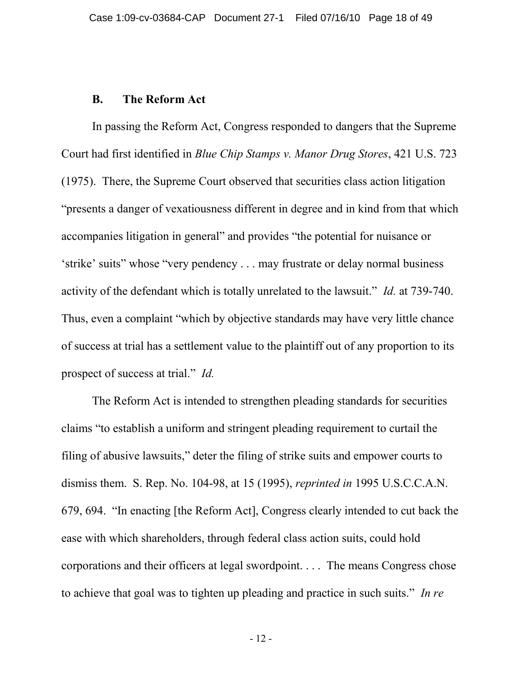#### **B. The Reform Act**

In passing the Reform Act, Congress responded to dangers that the Supreme Court had first identified in *Blue Chip Stamps v. Manor Drug Stores*, 421 U.S. 723 (1975). There, the Supreme Court observed that securities class action litigation "presents a danger of vexatiousness different in degree and in kind from that which accompanies litigation in general" and provides "the potential for nuisance or 'strike' suits" whose "very pendency . . . may frustrate or delay normal business activity of the defendant which is totally unrelated to the lawsuit." *Id.* at 739-740. Thus, even a complaint "which by objective standards may have very little chance of success at trial has a settlement value to the plaintiff out of any proportion to its prospect of success at trial." *Id.*

The Reform Act is intended to strengthen pleading standards for securities claims "to establish a uniform and stringent pleading requirement to curtail the filing of abusive lawsuits," deter the filing of strike suits and empower courts to dismiss them. S. Rep. No. 104-98, at 15 (1995), *reprinted in* 1995 U.S.C.C.A.N. 679, 694. "In enacting [the Reform Act], Congress clearly intended to cut back the ease with which shareholders, through federal class action suits, could hold corporations and their officers at legal swordpoint. . . . The means Congress chose to achieve that goal was to tighten up pleading and practice in such suits." *In re*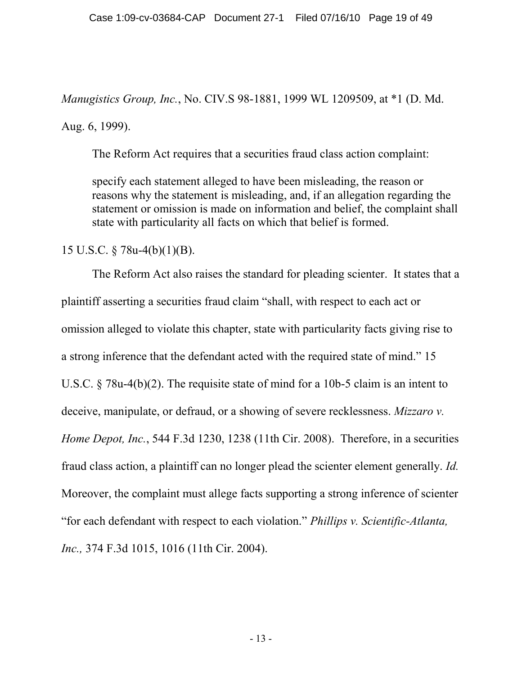*Manugistics Group, Inc.*, No. CIV.S 98-1881, 1999 WL 1209509, at \*1 (D. Md.

Aug. 6, 1999).

The Reform Act requires that a securities fraud class action complaint:

specify each statement alleged to have been misleading, the reason or reasons why the statement is misleading, and, if an allegation regarding the statement or omission is made on information and belief, the complaint shall state with particularity all facts on which that belief is formed.

15 U.S.C. § 78u-4(b)(1)(B).

The Reform Act also raises the standard for pleading scienter. It states that a plaintiff asserting a securities fraud claim "shall, with respect to each act or omission alleged to violate this chapter, state with particularity facts giving rise to a strong inference that the defendant acted with the required state of mind." 15 U.S.C. § 78u-4(b)(2). The requisite state of mind for a 10b-5 claim is an intent to deceive, manipulate, or defraud, or a showing of severe recklessness. *Mizzaro v. Home Depot, Inc.*, 544 F.3d 1230, 1238 (11th Cir. 2008). Therefore, in a securities fraud class action, a plaintiff can no longer plead the scienter element generally. *Id.* Moreover, the complaint must allege facts supporting a strong inference of scienter "for each defendant with respect to each violation." *[Phillips v. Scientific-Atlanta,](http://web2.westlaw.com/find/default.wl?referencepositiontype=S&serialnum=2004613577&referenceposition=1016&rp=%2ffind%2fdefault.wl&sv=Split&utid=1&rs=WLW10.06&db=506&tf=-1&findtype=Y&fn=_top&mt=NewLitigator&vr=2.0&pbc=3972E5B2&tc=-1&ordoc=2021777543) Inc.,* [374 F.3d 1015, 1016 \(11th Cir. 2004\).](http://web2.westlaw.com/find/default.wl?referencepositiontype=S&serialnum=2004613577&referenceposition=1016&rp=%2ffind%2fdefault.wl&sv=Split&utid=1&rs=WLW10.06&db=506&tf=-1&findtype=Y&fn=_top&mt=NewLitigator&vr=2.0&pbc=3972E5B2&tc=-1&ordoc=2021777543)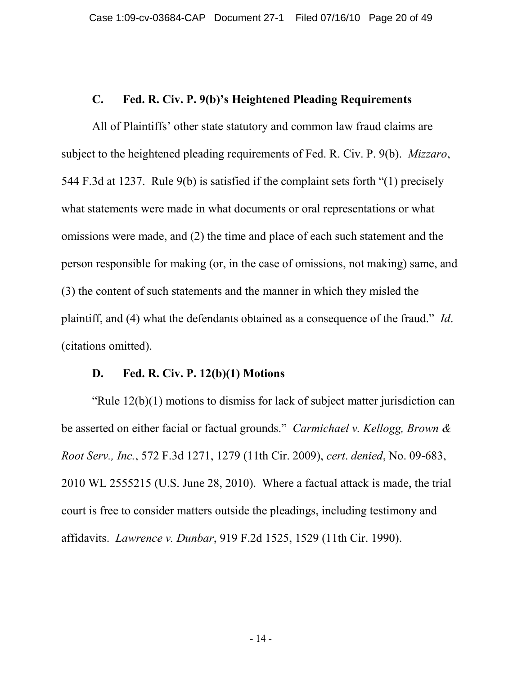#### **C. Fed. R. Civ. P. 9(b)'s Heightened Pleading Requirements**

All of Plaintiffs' other state statutory and common law fraud claims are subject to the heightened pleading requirements of Fed. R. Civ. P. 9(b). *Mizzaro*, 544 F.3d at 1237. Rule 9(b) is satisfied if the complaint sets forth "(1) precisely what statements were made in what documents or oral representations or what omissions were made, and (2) the time and place of each such statement and the person responsible for making (or, in the case of omissions, not making) same, and (3) the content of such statements and the manner in which they misled the plaintiff, and (4) what the defendants obtained as a consequence of the fraud." *Id*. (citations omitted).

#### **D. Fed. R. Civ. P. 12(b)(1) Motions**

"Rule 12(b)(1) motions to dismiss for lack of subject matter jurisdiction can be asserted on either facial or factual grounds." *Carmichael v. Kellogg, Brown & Root Serv., Inc.*, 572 F.3d 1271, 1279 (11th Cir. 2009), *cert*. *denied*, No. 09-683, 2010 WL 2555215 (U.S. June 28, 2010). Where a factual attack is made, the trial court is free to consider matters outside the pleadings, including testimony and affidavits. *Lawrence v. Dunbar*, 919 F.2d 1525, 1529 (11th Cir. 1990).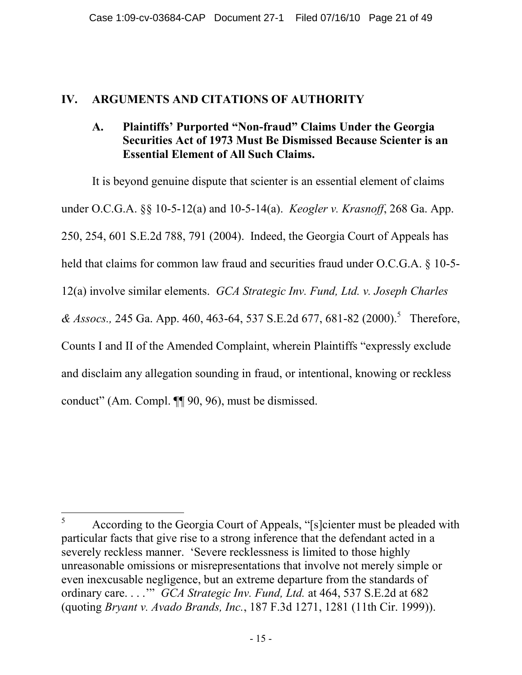### **IV. ARGUMENTS AND CITATIONS OF AUTHORITY**

## **A. Plaintiffs' Purported "Non-fraud" Claims Under the Georgia Securities Act of 1973 Must Be Dismissed Because Scienter is an Essential Element of All Such Claims.**

It is beyond genuine dispute that scienter is an essential element of claims under O.C.G.A. §§ 10-5-12(a) and 10-5-14(a). *Keogler v. Krasnoff*, 268 Ga. App. 250, 254, 601 S.E.2d 788, 791 (2004). Indeed, the Georgia Court of Appeals has held that claims for common law fraud and securities fraud under O.C.G.A. § 10-5-12(a) involve similar elements. *GCA Strategic Inv. Fund, Ltd. v. Joseph Charles & Assocs.,* 24[5](#page-20-0) Ga. App. 460, 463-64, 537 S.E.2d 677, 681-82 (2000).<sup>5</sup> Therefore, Counts I and II of the Amended Complaint, wherein Plaintiffs "expressly exclude and disclaim any allegation sounding in fraud, or intentional, knowing or reckless conduct" (Am. Compl. ¶¶ 90, 96), must be dismissed.

<span id="page-20-0"></span><sup>5</sup> According to the Georgia Court of Appeals, "[s]cienter must be pleaded with particular facts that give rise to a strong inference that the defendant acted in a severely reckless manner. 'Severe recklessness is limited to those highly unreasonable omissions or misrepresentations that involve not merely simple or even inexcusable negligence, but an extreme departure from the standards of ordinary care. . . .'" *GCA Strategic Inv. Fund, Ltd.* at 464, 537 S.E.2d at 682 (quoting *Bryant v. Avado Brands, Inc.*, 187 F.3d 1271, 1281 (11th Cir. 1999)).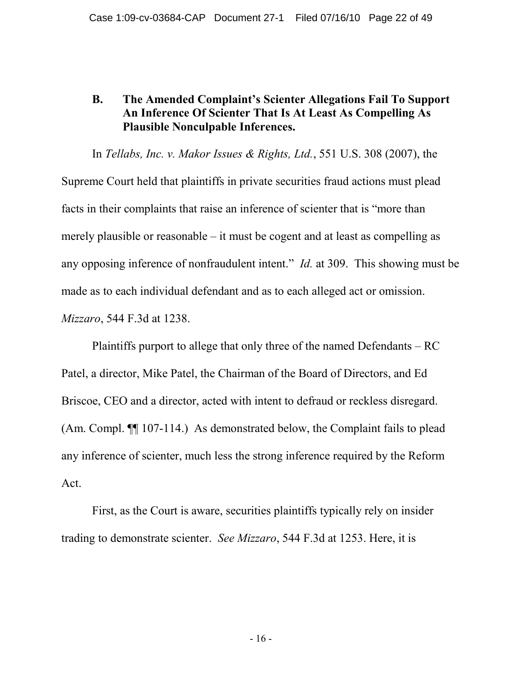### **B. The Amended Complaint's Scienter Allegations Fail To Support An Inference Of Scienter That Is At Least As Compelling As Plausible Nonculpable Inferences.**

In *Tellabs, Inc. v. Makor Issues & Rights, Ltd.*, 551 U.S. 308 (2007), the Supreme Court held that plaintiffs in private securities fraud actions must plead facts in their complaints that raise an inference of scienter that is "more than merely plausible or reasonable – it must be cogent and at least as compelling as any opposing inference of nonfraudulent intent." *Id.* at 309. This showing must be made as to each individual defendant and as to each alleged act or omission. *Mizzaro*, 544 F.3d at 1238.

Plaintiffs purport to allege that only three of the named Defendants – RC Patel, a director, Mike Patel, the Chairman of the Board of Directors, and Ed Briscoe, CEO and a director, acted with intent to defraud or reckless disregard. (Am. Compl. ¶¶ 107-114.) As demonstrated below, the Complaint fails to plead any inference of scienter, much less the strong inference required by the Reform Act.

First, as the Court is aware, securities plaintiffs typically rely on insider trading to demonstrate scienter. *See Mizzaro*, 544 F.3d at 1253. Here, it is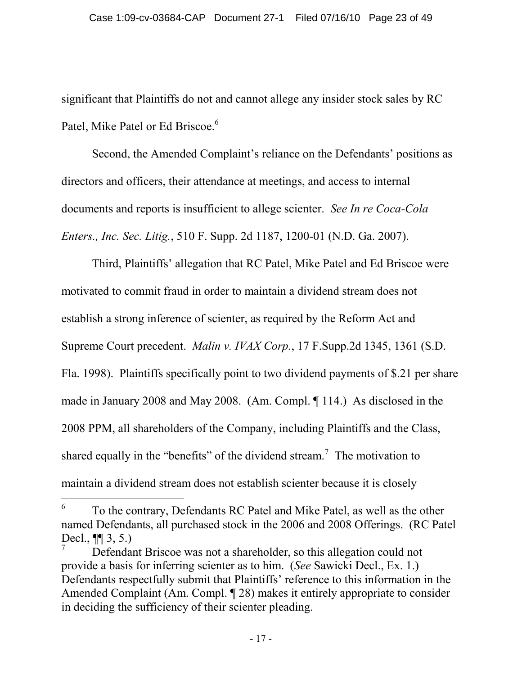significant that Plaintiffs do not and cannot allege any insider stock sales by RC Patel, Mike Patel or Ed Briscoe.<sup>[6](#page-22-0)</sup>

Second, the Amended Complaint's reliance on the Defendants' positions as directors and officers, their attendance at meetings, and access to internal documents and reports is insufficient to allege scienter. *See In re Coca-Cola Enters., Inc. Sec. Litig.*, 510 F. Supp. 2d 1187, 1200-01 (N.D. Ga. 2007).

Third, Plaintiffs' allegation that RC Patel, Mike Patel and Ed Briscoe were motivated to commit fraud in order to maintain a dividend stream does not establish a strong inference of scienter, as required by the Reform Act and Supreme Court precedent. *Malin v. IVAX Corp.*, 17 F.Supp.2d 1345, 1361 (S.D. Fla. 1998). Plaintiffs specifically point to two dividend payments of \$.21 per share made in January 2008 and May 2008. (Am. Compl. ¶ 114.) As disclosed in the 2008 PPM, all shareholders of the Company, including Plaintiffs and the Class, shared equally in the "benefits" of the dividend stream.<sup>[7](#page-22-1)</sup> The motivation to maintain a dividend stream does not establish scienter because it is closely

<span id="page-22-0"></span><sup>6</sup> To the contrary, Defendants RC Patel and Mike Patel, as well as the other named Defendants, all purchased stock in the 2006 and 2008 Offerings. (RC Patel Decl., ¶¶ 3, 5.)

<span id="page-22-1"></span><sup>7</sup> Defendant Briscoe was not a shareholder, so this allegation could not provide a basis for inferring scienter as to him. (*See* Sawicki Decl., Ex. 1.) Defendants respectfully submit that Plaintiffs' reference to this information in the Amended Complaint (Am. Compl. ¶ 28) makes it entirely appropriate to consider in deciding the sufficiency of their scienter pleading.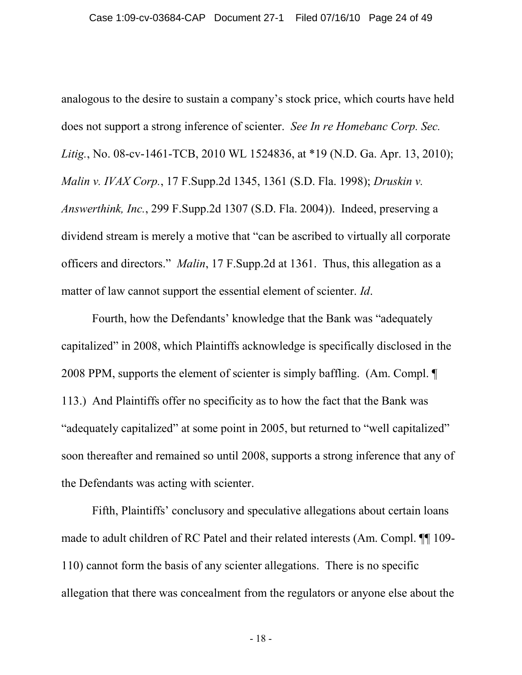analogous to the desire to sustain a company's stock price, which courts have held does not support a strong inference of scienter. *See In re Homebanc Corp. Sec. Litig.*, No. 08-cv-1461-TCB, 2010 WL 1524836, at \*19 (N.D. Ga. Apr. 13, 2010); *Malin v. IVAX Corp.*, 17 F.Supp.2d 1345, 1361 (S.D. Fla. 1998); *Druskin v. Answerthink, Inc.*, 299 F.Supp.2d 1307 (S.D. Fla. 2004)). Indeed, preserving a dividend stream is merely a motive that "can be ascribed to virtually all corporate officers and directors." *Malin*, 17 F.Supp.2d at 1361. Thus, this allegation as a matter of law cannot support the essential element of scienter. *Id*.

Fourth, how the Defendants' knowledge that the Bank was "adequately capitalized" in 2008, which Plaintiffs acknowledge is specifically disclosed in the 2008 PPM, supports the element of scienter is simply baffling. (Am. Compl. ¶ 113.) And Plaintiffs offer no specificity as to how the fact that the Bank was "adequately capitalized" at some point in 2005, but returned to "well capitalized" soon thereafter and remained so until 2008, supports a strong inference that any of the Defendants was acting with scienter.

Fifth, Plaintiffs' conclusory and speculative allegations about certain loans made to adult children of RC Patel and their related interests (Am. Compl. ¶¶ 109- 110) cannot form the basis of any scienter allegations. There is no specific allegation that there was concealment from the regulators or anyone else about the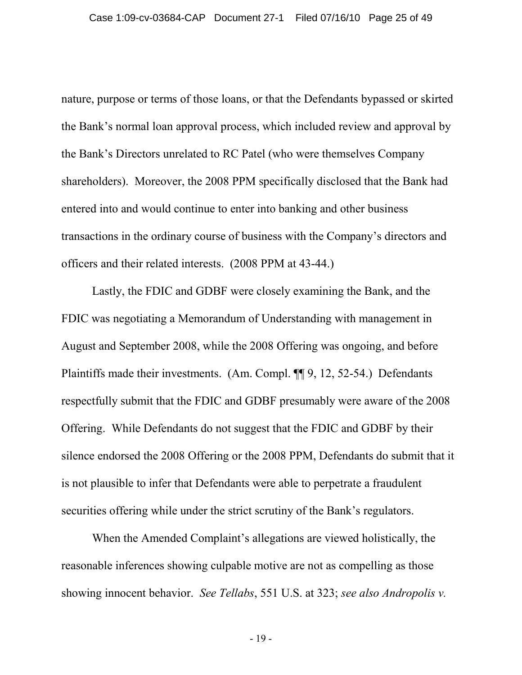nature, purpose or terms of those loans, or that the Defendants bypassed or skirted the Bank's normal loan approval process, which included review and approval by the Bank's Directors unrelated to RC Patel (who were themselves Company shareholders). Moreover, the 2008 PPM specifically disclosed that the Bank had entered into and would continue to enter into banking and other business transactions in the ordinary course of business with the Company's directors and officers and their related interests. (2008 PPM at 43-44.)

Lastly, the FDIC and GDBF were closely examining the Bank, and the FDIC was negotiating a Memorandum of Understanding with management in August and September 2008, while the 2008 Offering was ongoing, and before Plaintiffs made their investments. (Am. Compl. ¶¶ 9, 12, 52-54.) Defendants respectfully submit that the FDIC and GDBF presumably were aware of the 2008 Offering. While Defendants do not suggest that the FDIC and GDBF by their silence endorsed the 2008 Offering or the 2008 PPM, Defendants do submit that it is not plausible to infer that Defendants were able to perpetrate a fraudulent securities offering while under the strict scrutiny of the Bank's regulators.

When the Amended Complaint's allegations are viewed holistically, the reasonable inferences showing culpable motive are not as compelling as those showing innocent behavior. *See Tellabs*, 551 U.S. at 323; *see also Andropolis v.*

- 19 -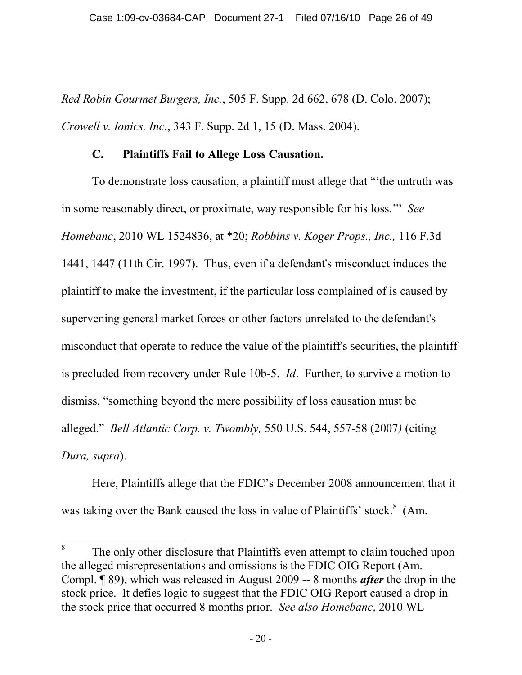*Red Robin Gourmet Burgers, Inc.*, 505 F. Supp. 2d 662, 678 (D. Colo. 2007); *Crowell v. Ionics, Inc.*, 343 F. Supp. 2d 1, 15 (D. Mass. 2004).

#### **C. Plaintiffs Fail to Allege Loss Causation.**

To demonstrate loss causation, a plaintiff must allege that "'the untruth was in some reasonably direct, or proximate, way responsible for his loss.'" *See Homebanc*, 2010 WL 1524836, at \*20; *[Robbins v. Koger Props., Inc.,](http://web2.westlaw.com/find/default.wl?tf=-1&rs=WLW10.06&referencepositiontype=S&serialnum=1997135975&fn=_top&sv=Split&referenceposition=1447&pbc=86EB2DF5&tc=-1&ordoc=2002439813&findtype=Y&db=506&vr=2.0&rp=%2ffind%2fdefault.wl&mt=394)* 116 F.3d [1441, 1447 \(11th Cir. 1997\)](http://web2.westlaw.com/find/default.wl?tf=-1&rs=WLW10.06&referencepositiontype=S&serialnum=1997135975&fn=_top&sv=Split&referenceposition=1447&pbc=86EB2DF5&tc=-1&ordoc=2002439813&findtype=Y&db=506&vr=2.0&rp=%2ffind%2fdefault.wl&mt=394). Thus, even if a defendant's misconduct induces the plaintiff to make the investment, if the particular loss complained of is caused by supervening general market forces or other factors unrelated to the defendant's misconduct that operate to reduce the value of the plaintiff's securities, the plaintiff is precluded from recovery under Rule 10b-5. *Id*. Further, to survive a motion to dismiss, "something beyond the mere possibility of loss causation must be alleged." *Bell Atlantic Corp. v. Twombly,* 550 U.S. 544, 557-58 (2007*)* (citing *Dura, supra*).

Here, Plaintiffs allege that the FDIC's December 2008 announcement that it was taking over the Bank caused the loss in value of Plaintiffs' stock.<sup>[8](#page-25-0)</sup> (Am.

<span id="page-25-0"></span><sup>8</sup> The only other disclosure that Plaintiffs even attempt to claim touched upon the alleged misrepresentations and omissions is the FDIC OIG Report (Am. Compl. ¶ 89), which was released in August 2009 -- 8 months *after* the drop in the stock price. It defies logic to suggest that the FDIC OIG Report caused a drop in the stock price that occurred 8 months prior. *See also Homebanc*, 2010 WL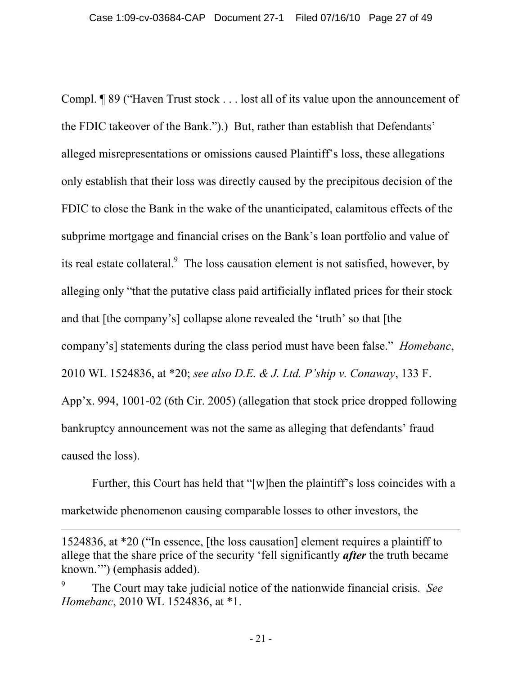Compl. ¶ 89 ("Haven Trust stock . . . lost all of its value upon the announcement of the FDIC takeover of the Bank.").) But, rather than establish that Defendants' alleged misrepresentations or omissions caused Plaintiff's loss, these allegations only establish that their loss was directly caused by the precipitous decision of the FDIC to close the Bank in the wake of the unanticipated, calamitous effects of the subprime mortgage and financial crises on the Bank's loan portfolio and value of its real estate collateral.<sup>[9](#page-26-0)</sup> The loss causation element is not satisfied, however, by alleging only "that the putative class paid artificially inflated prices for their stock and that [the company's] collapse alone revealed the 'truth' so that [the company's] statements during the class period must have been false." *Homebanc*, 2010 WL 1524836, at \*20; *see also D.E. & J. Ltd. P'ship v. Conaway*, 133 F. App'x. 994, 1001-02 (6th Cir. 2005) (allegation that stock price dropped following bankruptcy announcement was not the same as alleging that defendants' fraud caused the loss).

Further, this Court has held that "[w]hen the plaintiff's loss coincides with a marketwide phenomenon causing comparable losses to other investors, the

<sup>1524836,</sup> at \*20 ("In essence, [the loss causation] element requires a plaintiff to allege that the share price of the security 'fell significantly *after* the truth became known.'") (emphasis added).

<span id="page-26-0"></span><sup>9</sup> The Court may take judicial notice of the nationwide financial crisis. *See Homebanc*, 2010 WL 1524836, at \*1.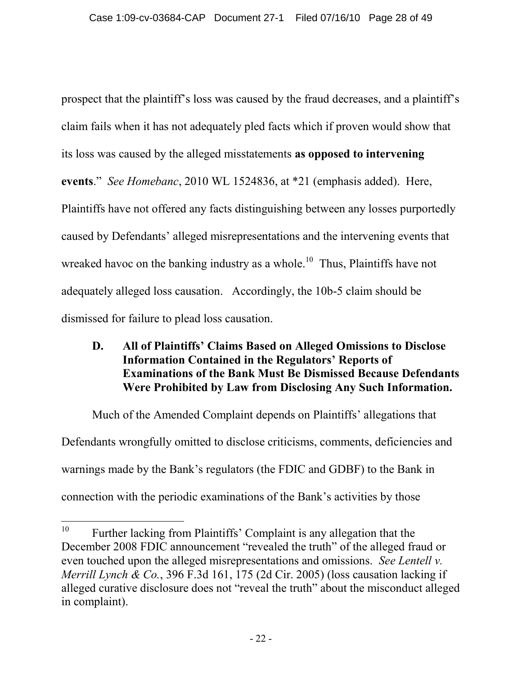prospect that the plaintiff's loss was caused by the fraud decreases, and a plaintiff's claim fails when it has not adequately pled facts which if proven would show that its loss was caused by the alleged misstatements **as opposed to intervening events**." *See Homebanc*, 2010 WL 1524836, at \*21 (emphasis added). Here, Plaintiffs have not offered any facts distinguishing between any losses purportedly caused by Defendants' alleged misrepresentations and the intervening events that wreaked havoc on the banking industry as a whole.<sup>[10](#page-27-0)</sup> Thus, Plaintiffs have not adequately alleged loss causation. Accordingly, the 10b-5 claim should be dismissed for failure to plead loss causation.

### **D. All of Plaintiffs' Claims Based on Alleged Omissions to Disclose Information Contained in the Regulators' Reports of Examinations of the Bank Must Be Dismissed Because Defendants Were Prohibited by Law from Disclosing Any Such Information.**

Much of the Amended Complaint depends on Plaintiffs' allegations that Defendants wrongfully omitted to disclose criticisms, comments, deficiencies and warnings made by the Bank's regulators (the FDIC and GDBF) to the Bank in connection with the periodic examinations of the Bank's activities by those

<span id="page-27-0"></span><sup>&</sup>lt;sup>10</sup> Further lacking from Plaintiffs' Complaint is any allegation that the December 2008 FDIC announcement "revealed the truth" of the alleged fraud or even touched upon the alleged misrepresentations and omissions. *See Lentell v. Merrill Lynch & Co.*, 396 F.3d 161, 175 (2d Cir. 2005) (loss causation lacking if alleged curative disclosure does not "reveal the truth" about the misconduct alleged in complaint).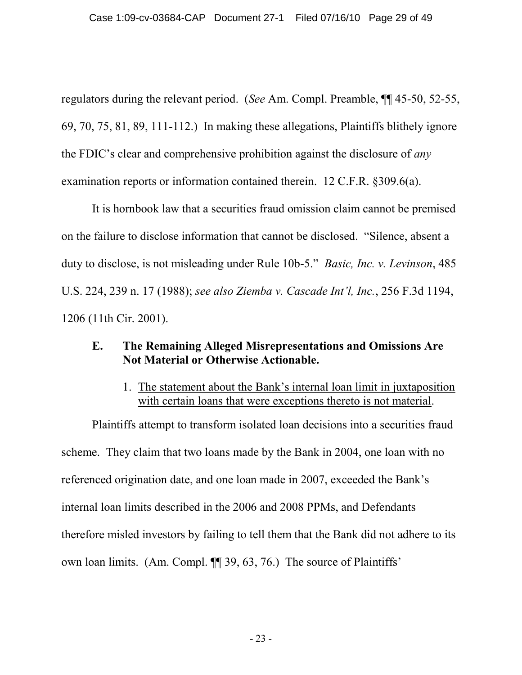regulators during the relevant period. (*See* Am. Compl. Preamble, ¶¶ 45-50, 52-55, 69, 70, 75, 81, 89, 111-112.) In making these allegations, Plaintiffs blithely ignore the FDIC's clear and comprehensive prohibition against the disclosure of *any* examination reports or information contained therein. 12 C.F.R. §309.6(a).

It is hornbook law that a securities fraud omission claim cannot be premised on the failure to disclose information that cannot be disclosed. "Silence, absent a duty to disclose, is not misleading under Rule 10b-5." *Basic, Inc. v. Levinson*, 485 U.S. 224, 239 n. 17 (1988); *see also Ziemba v. Cascade Int'l, Inc.*, 256 F.3d 1194, 1206 (11th Cir. 2001).

#### **E. The Remaining Alleged Misrepresentations and Omissions Are Not Material or Otherwise Actionable.**

1. The statement about the Bank's internal loan limit in juxtaposition with certain loans that were exceptions thereto is not material.

Plaintiffs attempt to transform isolated loan decisions into a securities fraud scheme. They claim that two loans made by the Bank in 2004, one loan with no referenced origination date, and one loan made in 2007, exceeded the Bank's internal loan limits described in the 2006 and 2008 PPMs, and Defendants therefore misled investors by failing to tell them that the Bank did not adhere to its own loan limits. (Am. Compl. ¶¶ 39, 63, 76.) The source of Plaintiffs'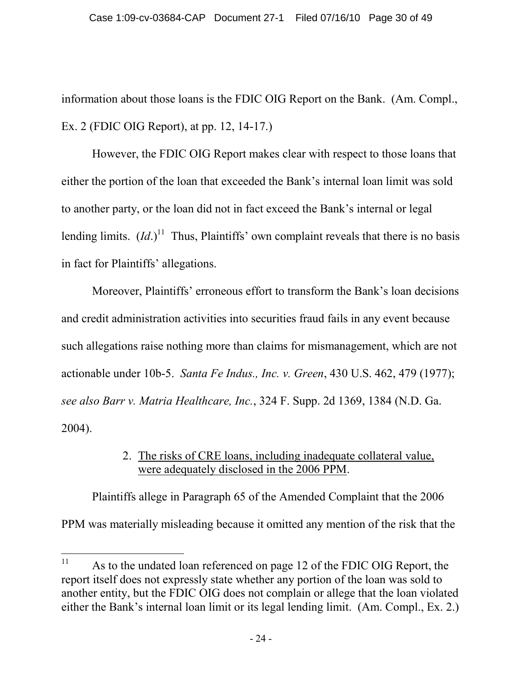information about those loans is the FDIC OIG Report on the Bank. (Am. Compl., Ex. 2 (FDIC OIG Report), at pp. 12, 14-17.)

However, the FDIC OIG Report makes clear with respect to those loans that either the portion of the loan that exceeded the Bank's internal loan limit was sold to another party, or the loan did not in fact exceed the Bank's internal or legal lending limits.  $(Id.)^{11}$  $(Id.)^{11}$  $(Id.)^{11}$  Thus, Plaintiffs' own complaint reveals that there is no basis in fact for Plaintiffs' allegations.

Moreover, Plaintiffs' erroneous effort to transform the Bank's loan decisions and credit administration activities into securities fraud fails in any event because such allegations raise nothing more than claims for mismanagement, which are not actionable under 10b-5. *Santa Fe Indus., Inc. v. Green*, 430 U.S. 462, 479 (1977); *see also Barr v. Matria Healthcare, Inc.*, 324 F. Supp. 2d 1369, 1384 (N.D. Ga. 2004).

# 2. The risks of CRE loans, including inadequate collateral value, were adequately disclosed in the 2006 PPM.

Plaintiffs allege in Paragraph 65 of the Amended Complaint that the 2006 PPM was materially misleading because it omitted any mention of the risk that the

<span id="page-29-0"></span><sup>&</sup>lt;sup>11</sup> As to the undated loan referenced on page 12 of the FDIC OIG Report, the report itself does not expressly state whether any portion of the loan was sold to another entity, but the FDIC OIG does not complain or allege that the loan violated either the Bank's internal loan limit or its legal lending limit. (Am. Compl., Ex. 2.)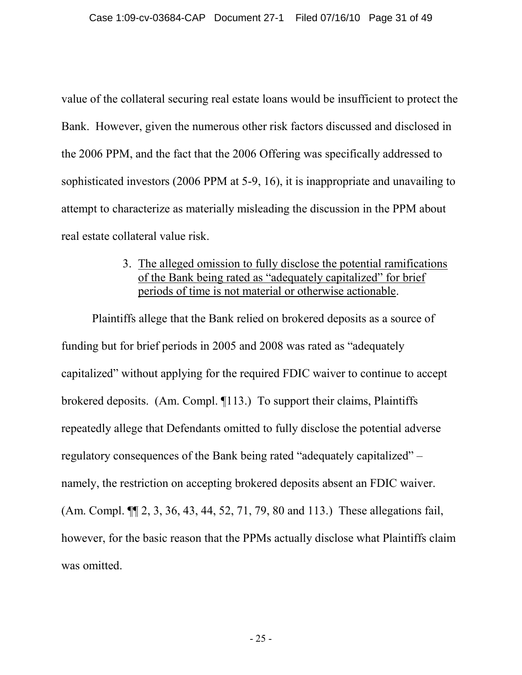value of the collateral securing real estate loans would be insufficient to protect the Bank. However, given the numerous other risk factors discussed and disclosed in the 2006 PPM, and the fact that the 2006 Offering was specifically addressed to sophisticated investors (2006 PPM at 5-9, 16), it is inappropriate and unavailing to attempt to characterize as materially misleading the discussion in the PPM about real estate collateral value risk.

## 3. The alleged omission to fully disclose the potential ramifications of the Bank being rated as "adequately capitalized" for brief periods of time is not material or otherwise actionable.

Plaintiffs allege that the Bank relied on brokered deposits as a source of funding but for brief periods in 2005 and 2008 was rated as "adequately capitalized" without applying for the required FDIC waiver to continue to accept brokered deposits. (Am. Compl. ¶113.) To support their claims, Plaintiffs repeatedly allege that Defendants omitted to fully disclose the potential adverse regulatory consequences of the Bank being rated "adequately capitalized" – namely, the restriction on accepting brokered deposits absent an FDIC waiver. (Am. Compl. ¶¶ 2, 3, 36, 43, 44, 52, 71, 79, 80 and 113.) These allegations fail, however, for the basic reason that the PPMs actually disclose what Plaintiffs claim was omitted.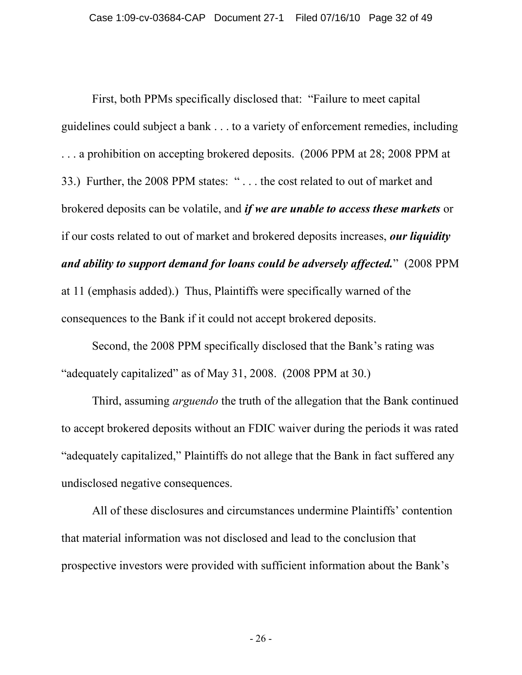First, both PPMs specifically disclosed that: "Failure to meet capital guidelines could subject a bank . . . to a variety of enforcement remedies, including . . . a prohibition on accepting brokered deposits. (2006 PPM at 28; 2008 PPM at 33.) Further, the 2008 PPM states: " . . . the cost related to out of market and brokered deposits can be volatile, and *if we are unable to access these markets* or if our costs related to out of market and brokered deposits increases, *our liquidity and ability to support demand for loans could be adversely affected.*" (2008 PPM at 11 (emphasis added).) Thus, Plaintiffs were specifically warned of the consequences to the Bank if it could not accept brokered deposits.

Second, the 2008 PPM specifically disclosed that the Bank's rating was "adequately capitalized" as of May 31, 2008. (2008 PPM at 30.)

Third, assuming *arguendo* the truth of the allegation that the Bank continued to accept brokered deposits without an FDIC waiver during the periods it was rated "adequately capitalized," Plaintiffs do not allege that the Bank in fact suffered any undisclosed negative consequences.

All of these disclosures and circumstances undermine Plaintiffs' contention that material information was not disclosed and lead to the conclusion that prospective investors were provided with sufficient information about the Bank's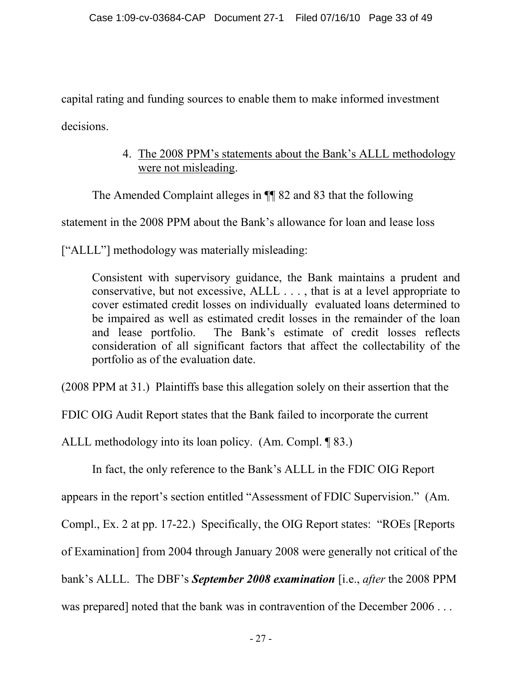capital rating and funding sources to enable them to make informed investment decisions.

> 4. The 2008 PPM's statements about the Bank's ALLL methodology were not misleading.

The Amended Complaint alleges in ¶¶ 82 and 83 that the following

statement in the 2008 PPM about the Bank's allowance for loan and lease loss

["ALLL"] methodology was materially misleading:

Consistent with supervisory guidance, the Bank maintains a prudent and conservative, but not excessive, ALLL . . . , that is at a level appropriate to cover estimated credit losses on individually evaluated loans determined to be impaired as well as estimated credit losses in the remainder of the loan and lease portfolio. The Bank's estimate of credit losses reflects consideration of all significant factors that affect the collectability of the portfolio as of the evaluation date.

(2008 PPM at 31.) Plaintiffs base this allegation solely on their assertion that the

FDIC OIG Audit Report states that the Bank failed to incorporate the current

ALLL methodology into its loan policy. (Am. Compl. ¶ 83.)

In fact, the only reference to the Bank's ALLL in the FDIC OIG Report

appears in the report's section entitled "Assessment of FDIC Supervision." (Am.

Compl., Ex. 2 at pp. 17-22.) Specifically, the OIG Report states: "ROEs [Reports

of Examination] from 2004 through January 2008 were generally not critical of the

bank's ALLL. The DBF's *September 2008 examination* [i.e., *after* the 2008 PPM

was prepared] noted that the bank was in contravention of the December 2006...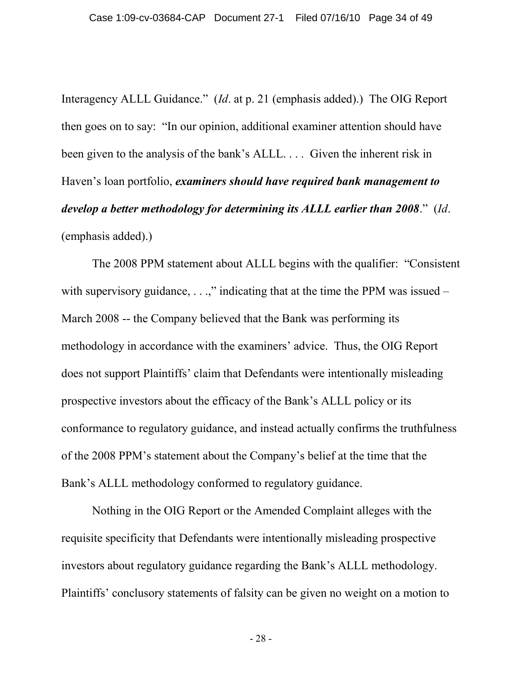Interagency ALLL Guidance." (*Id*. at p. 21 (emphasis added).) The OIG Report then goes on to say: "In our opinion, additional examiner attention should have been given to the analysis of the bank's ALLL. . . . Given the inherent risk in Haven's loan portfolio, *examiners should have required bank management to develop a better methodology for determining its ALLL earlier than 2008*." (*Id*. (emphasis added).)

The 2008 PPM statement about ALLL begins with the qualifier: "Consistent with supervisory guidance,  $\dots$ ," indicating that at the time the PPM was issued – March 2008 -- the Company believed that the Bank was performing its methodology in accordance with the examiners' advice. Thus, the OIG Report does not support Plaintiffs' claim that Defendants were intentionally misleading prospective investors about the efficacy of the Bank's ALLL policy or its conformance to regulatory guidance, and instead actually confirms the truthfulness of the 2008 PPM's statement about the Company's belief at the time that the Bank's ALLL methodology conformed to regulatory guidance.

Nothing in the OIG Report or the Amended Complaint alleges with the requisite specificity that Defendants were intentionally misleading prospective investors about regulatory guidance regarding the Bank's ALLL methodology. Plaintiffs' conclusory statements of falsity can be given no weight on a motion to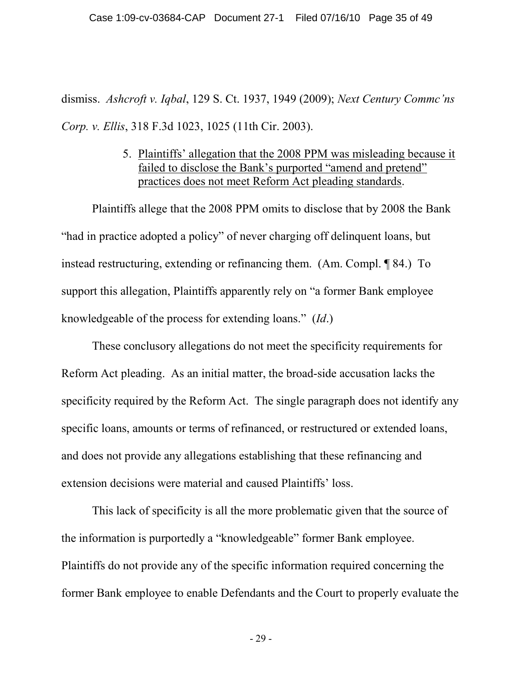dismiss. *Ashcroft v. Iqbal*, 129 S. Ct. 1937, 1949 (2009); *Next Century Commc'ns Corp. v. Ellis*, 318 F.3d 1023, 1025 (11th Cir. 2003).

### 5. Plaintiffs' allegation that the 2008 PPM was misleading because it failed to disclose the Bank's purported "amend and pretend" practices does not meet Reform Act pleading standards.

Plaintiffs allege that the 2008 PPM omits to disclose that by 2008 the Bank "had in practice adopted a policy" of never charging off delinquent loans, but instead restructuring, extending or refinancing them. (Am. Compl. ¶ 84.) To support this allegation, Plaintiffs apparently rely on "a former Bank employee knowledgeable of the process for extending loans." (*Id*.)

These conclusory allegations do not meet the specificity requirements for Reform Act pleading. As an initial matter, the broad-side accusation lacks the specificity required by the Reform Act. The single paragraph does not identify any specific loans, amounts or terms of refinanced, or restructured or extended loans, and does not provide any allegations establishing that these refinancing and extension decisions were material and caused Plaintiffs' loss.

This lack of specificity is all the more problematic given that the source of the information is purportedly a "knowledgeable" former Bank employee. Plaintiffs do not provide any of the specific information required concerning the former Bank employee to enable Defendants and the Court to properly evaluate the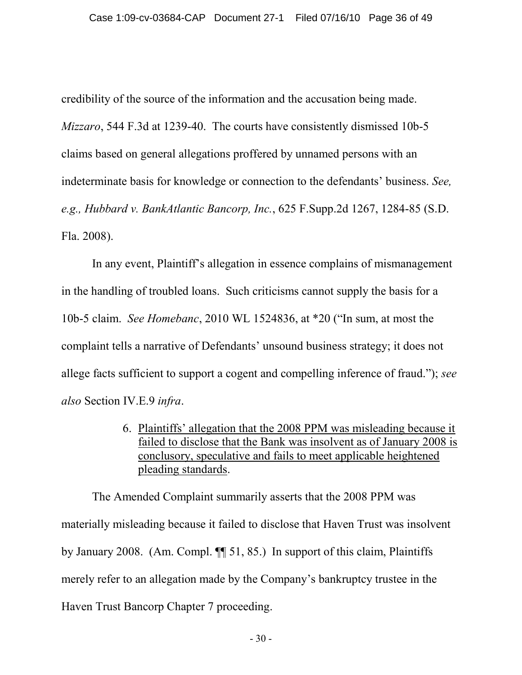credibility of the source of the information and the accusation being made. *Mizzaro*, 544 F.3d at 1239-40. The courts have consistently dismissed 10b-5 claims based on general allegations proffered by unnamed persons with an indeterminate basis for knowledge or connection to the defendants' business. *See, e.g., Hubbard v. BankAtlantic Bancorp, Inc.*, 625 F.Supp.2d 1267, 1284-85 (S.D. Fla. 2008).

In any event, Plaintiff's allegation in essence complains of mismanagement in the handling of troubled loans. Such criticisms cannot supply the basis for a 10b-5 claim. *See Homebanc*, 2010 WL 1524836, at \*20 ("In sum, at most the complaint tells a narrative of Defendants' unsound business strategy; it does not allege facts sufficient to support a cogent and compelling inference of fraud."); *see also* Section IV.E.9 *infra*.

> 6. Plaintiffs' allegation that the 2008 PPM was misleading because it failed to disclose that the Bank was insolvent as of January 2008 is conclusory, speculative and fails to meet applicable heightened pleading standards.

The Amended Complaint summarily asserts that the 2008 PPM was materially misleading because it failed to disclose that Haven Trust was insolvent by January 2008. (Am. Compl. ¶¶ 51, 85.) In support of this claim, Plaintiffs merely refer to an allegation made by the Company's bankruptcy trustee in the Haven Trust Bancorp Chapter 7 proceeding.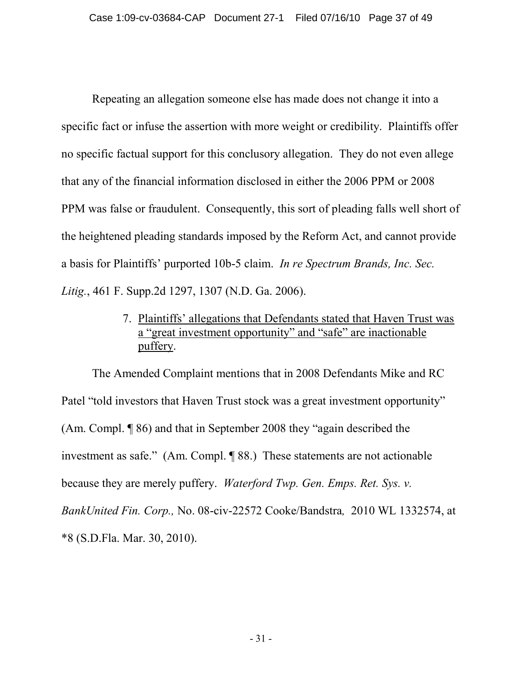Repeating an allegation someone else has made does not change it into a specific fact or infuse the assertion with more weight or credibility. Plaintiffs offer no specific factual support for this conclusory allegation. They do not even allege that any of the financial information disclosed in either the 2006 PPM or 2008 PPM was false or fraudulent. Consequently, this sort of pleading falls well short of the heightened pleading standards imposed by the Reform Act, and cannot provide a basis for Plaintiffs' purported 10b-5 claim. *In re Spectrum Brands, Inc. Sec. Litig.*, 461 F. Supp.2d 1297, 1307 (N.D. Ga. 2006).

# 7. Plaintiffs' allegations that Defendants stated that Haven Trust was a "great investment opportunity" and "safe" are inactionable puffery.

The Amended Complaint mentions that in 2008 Defendants Mike and RC Patel "told investors that Haven Trust stock was a great investment opportunity" (Am. Compl. ¶ 86) and that in September 2008 they "again described the investment as safe." (Am. Compl. ¶ 88.) These statements are not actionable because they are merely puffery. *Waterford Twp. Gen. Emps. Ret. Sys. v. BankUnited Fin. Corp.,* No. 08-civ-22572 Cooke/Bandstra*,* 2010 WL 1332574, at \*8 (S.D.Fla. Mar. 30, 2010).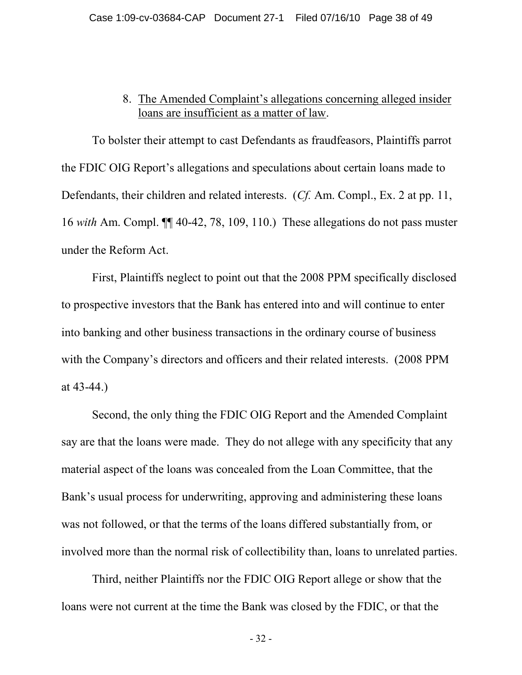#### 8. The Amended Complaint's allegations concerning alleged insider loans are insufficient as a matter of law.

To bolster their attempt to cast Defendants as fraudfeasors, Plaintiffs parrot the FDIC OIG Report's allegations and speculations about certain loans made to Defendants, their children and related interests. (*Cf.* Am. Compl., Ex. 2 at pp. 11, 16 *with* Am. Compl. ¶¶ 40-42, 78, 109, 110.) These allegations do not pass muster under the Reform Act.

First, Plaintiffs neglect to point out that the 2008 PPM specifically disclosed to prospective investors that the Bank has entered into and will continue to enter into banking and other business transactions in the ordinary course of business with the Company's directors and officers and their related interests. (2008 PPM at 43-44.)

Second, the only thing the FDIC OIG Report and the Amended Complaint say are that the loans were made. They do not allege with any specificity that any material aspect of the loans was concealed from the Loan Committee, that the Bank's usual process for underwriting, approving and administering these loans was not followed, or that the terms of the loans differed substantially from, or involved more than the normal risk of collectibility than, loans to unrelated parties.

Third, neither Plaintiffs nor the FDIC OIG Report allege or show that the loans were not current at the time the Bank was closed by the FDIC, or that the

- 32 -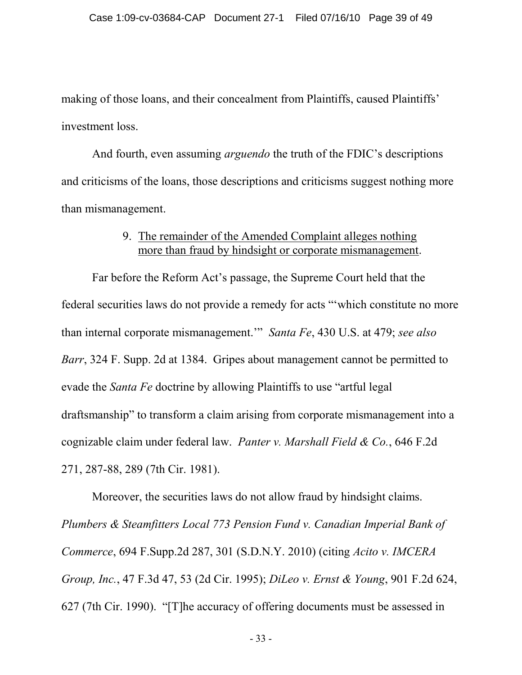making of those loans, and their concealment from Plaintiffs, caused Plaintiffs' investment loss.

And fourth, even assuming *arguendo* the truth of the FDIC's descriptions and criticisms of the loans, those descriptions and criticisms suggest nothing more than mismanagement.

### 9. The remainder of the Amended Complaint alleges nothing more than fraud by hindsight or corporate mismanagement.

Far before the Reform Act's passage, the Supreme Court held that the federal securities laws do not provide a remedy for acts "'which constitute no more than internal corporate mismanagement.'" *Santa Fe*, 430 U.S. at 479; *see also Barr*, 324 F. Supp. 2d at 1384. Gripes about management cannot be permitted to evade the *Santa Fe* doctrine by allowing Plaintiffs to use "artful legal draftsmanship" to transform a claim arising from corporate mismanagement into a cognizable claim under federal law. *Panter v. Marshall Field & Co.*, 646 F.2d 271, 287-88, 289 (7th Cir. 1981).

Moreover, the securities laws do not allow fraud by hindsight claims. *Plumbers & Steamfitters Local 773 Pension Fund v. Canadian Imperial Bank of Commerce*, 694 F.Supp.2d 287, 301 (S.D.N.Y. 2010) (citing *Acito v. IMCERA Group, Inc.*, 47 F.3d 47, 53 (2d Cir. 1995); *DiLeo v. Ernst & Young*, 901 F.2d 624, 627 (7th Cir. 1990). "[T]he accuracy of offering documents must be assessed in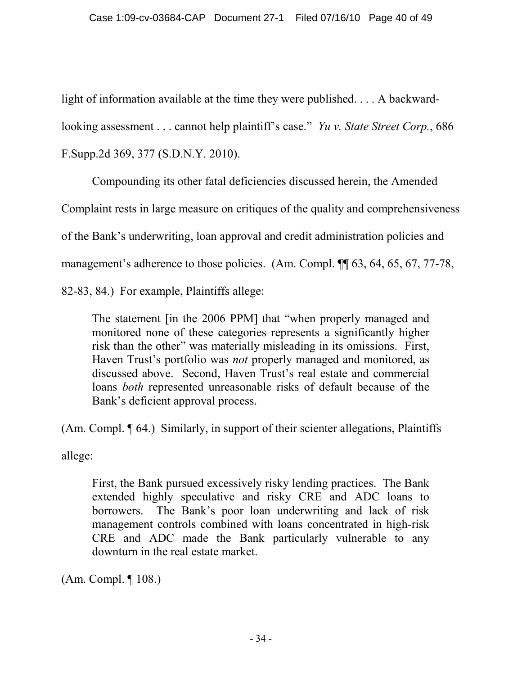light of information available at the time they were published. . . . A backward-

looking assessment . . . cannot help plaintiff's case." *Yu v. State Street Corp.*, 686

F.Supp.2d 369, 377 (S.D.N.Y. 2010).

Compounding its other fatal deficiencies discussed herein, the Amended

Complaint rests in large measure on critiques of the quality and comprehensiveness

of the Bank's underwriting, loan approval and credit administration policies and

management's adherence to those policies. (Am. Compl. ¶ 63, 64, 65, 67, 77-78,

82-83, 84.) For example, Plaintiffs allege:

The statement [in the 2006 PPM] that "when properly managed and monitored none of these categories represents a significantly higher risk than the other" was materially misleading in its omissions. First, Haven Trust's portfolio was *not* properly managed and monitored, as discussed above. Second, Haven Trust's real estate and commercial loans *both* represented unreasonable risks of default because of the Bank's deficient approval process.

(Am. Compl. ¶ 64.) Similarly, in support of their scienter allegations, Plaintiffs

allege:

First, the Bank pursued excessively risky lending practices. The Bank extended highly speculative and risky CRE and ADC loans to borrowers. The Bank's poor loan underwriting and lack of risk management controls combined with loans concentrated in high-risk CRE and ADC made the Bank particularly vulnerable to any downturn in the real estate market.

(Am. Compl. ¶ 108.)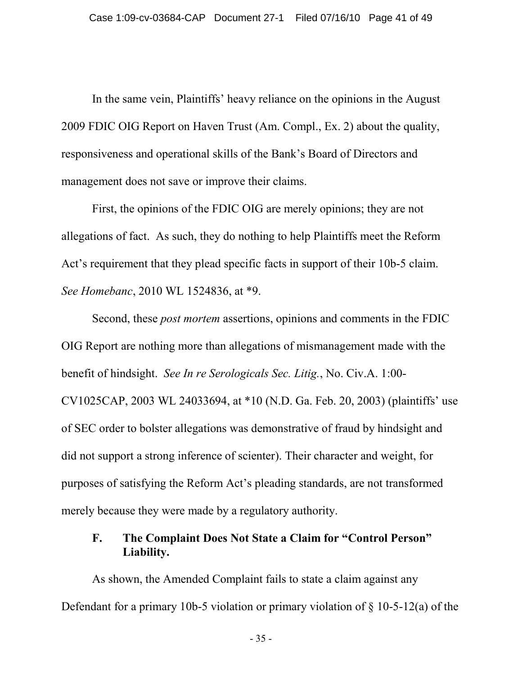In the same vein, Plaintiffs' heavy reliance on the opinions in the August 2009 FDIC OIG Report on Haven Trust (Am. Compl., Ex. 2) about the quality, responsiveness and operational skills of the Bank's Board of Directors and management does not save or improve their claims.

First, the opinions of the FDIC OIG are merely opinions; they are not allegations of fact. As such, they do nothing to help Plaintiffs meet the Reform Act's requirement that they plead specific facts in support of their 10b-5 claim. *See Homebanc*, 2010 WL 1524836, at \*9.

Second, these *post mortem* assertions, opinions and comments in the FDIC OIG Report are nothing more than allegations of mismanagement made with the benefit of hindsight. *See In re Serologicals Sec. Litig.*, No. Civ.A. 1:00- CV1025CAP, 2003 WL 24033694, at \*10 (N.D. Ga. Feb. 20, 2003) (plaintiffs' use of SEC order to bolster allegations was demonstrative of fraud by hindsight and did not support a strong inference of scienter). Their character and weight, for purposes of satisfying the Reform Act's pleading standards, are not transformed merely because they were made by a regulatory authority.

# **F. The Complaint Does Not State a Claim for "Control Person" Liability.**

As shown, the Amended Complaint fails to state a claim against any Defendant for a primary 10b-5 violation or primary violation of  $\S$  10-5-12(a) of the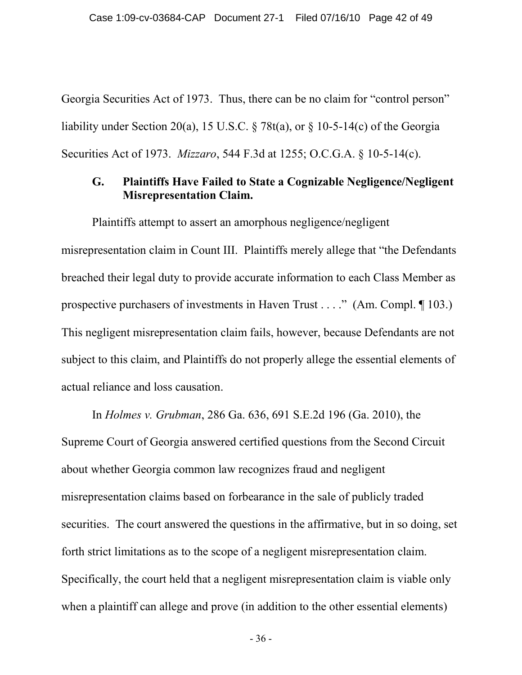Georgia Securities Act of 1973. Thus, there can be no claim for "control person" liability under Section 20(a), 15 U.S.C.  $\frac{8}{8}$  78t(a), or  $\frac{8}{8}$  10-5-14(c) of the Georgia Securities Act of 1973. *Mizzaro*, 544 F.3d at 1255; O.C.G.A. § 10-5-14(c).

### **G. Plaintiffs Have Failed to State a Cognizable Negligence/Negligent Misrepresentation Claim.**

Plaintiffs attempt to assert an amorphous negligence/negligent misrepresentation claim in Count III. Plaintiffs merely allege that "the Defendants breached their legal duty to provide accurate information to each Class Member as prospective purchasers of investments in Haven Trust . . . ." (Am. Compl. ¶ 103.) This negligent misrepresentation claim fails, however, because Defendants are not subject to this claim, and Plaintiffs do not properly allege the essential elements of actual reliance and loss causation.

In *Holmes v. Grubman*, 286 Ga. 636, 691 S.E.2d 196 (Ga. 2010), the Supreme Court of Georgia answered certified questions from the Second Circuit about whether Georgia common law recognizes fraud and negligent misrepresentation claims based on forbearance in the sale of publicly traded securities. The court answered the questions in the affirmative, but in so doing, set forth strict limitations as to the scope of a negligent misrepresentation claim. Specifically, the court held that a negligent misrepresentation claim is viable only when a plaintiff can allege and prove (in addition to the other essential elements)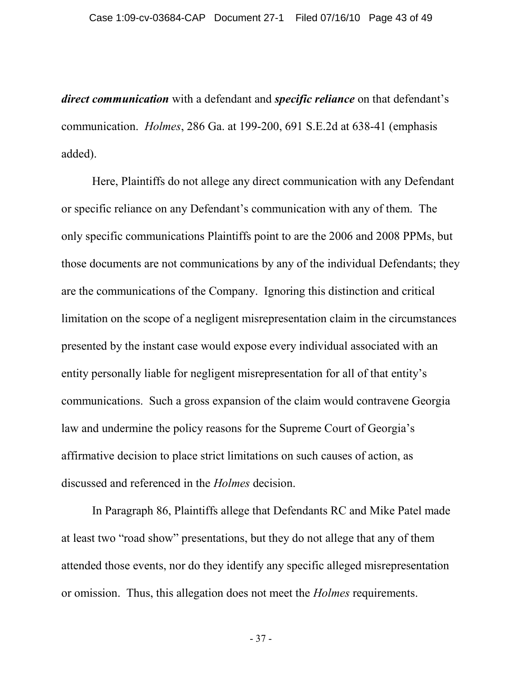*direct communication* with a defendant and *specific reliance* on that defendant's communication. *Holmes*, 286 Ga. at 199-200, 691 S.E.2d at 638-41 (emphasis added).

Here, Plaintiffs do not allege any direct communication with any Defendant or specific reliance on any Defendant's communication with any of them. The only specific communications Plaintiffs point to are the 2006 and 2008 PPMs, but those documents are not communications by any of the individual Defendants; they are the communications of the Company. Ignoring this distinction and critical limitation on the scope of a negligent misrepresentation claim in the circumstances presented by the instant case would expose every individual associated with an entity personally liable for negligent misrepresentation for all of that entity's communications. Such a gross expansion of the claim would contravene Georgia law and undermine the policy reasons for the Supreme Court of Georgia's affirmative decision to place strict limitations on such causes of action, as discussed and referenced in the *Holmes* decision.

In Paragraph 86, Plaintiffs allege that Defendants RC and Mike Patel made at least two "road show" presentations, but they do not allege that any of them attended those events, nor do they identify any specific alleged misrepresentation or omission. Thus, this allegation does not meet the *Holmes* requirements.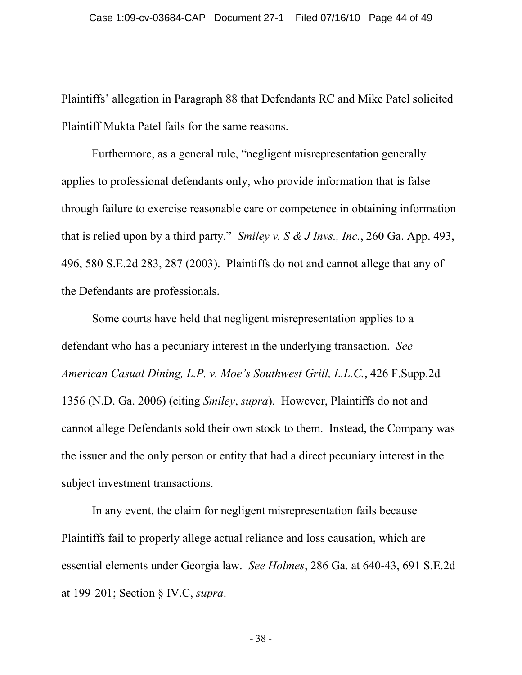Plaintiffs' allegation in Paragraph 88 that Defendants RC and Mike Patel solicited Plaintiff Mukta Patel fails for the same reasons.

Furthermore, as a general rule, "negligent misrepresentation generally applies to professional defendants only, who provide information that is false through failure to exercise reasonable care or competence in obtaining information that is relied upon by a third party." *Smiley v. S & J Invs., Inc.*, 260 Ga. App. 493, 496, 580 S.E.2d 283, 287 (2003). Plaintiffs do not and cannot allege that any of the Defendants are professionals.

Some courts have held that negligent misrepresentation applies to a defendant who has a pecuniary interest in the underlying transaction. *See American Casual Dining, L.P. v. Moe's Southwest Grill, L.L.C.*, 426 F.Supp.2d 1356 (N.D. Ga. 2006) (citing *Smiley*, *supra*). However, Plaintiffs do not and cannot allege Defendants sold their own stock to them. Instead, the Company was the issuer and the only person or entity that had a direct pecuniary interest in the subject investment transactions.

In any event, the claim for negligent misrepresentation fails because Plaintiffs fail to properly allege actual reliance and loss causation, which are essential elements under Georgia law. *See Holmes*, 286 Ga. at 640-43, 691 S.E.2d at 199-201; Section § IV.C, *supra*.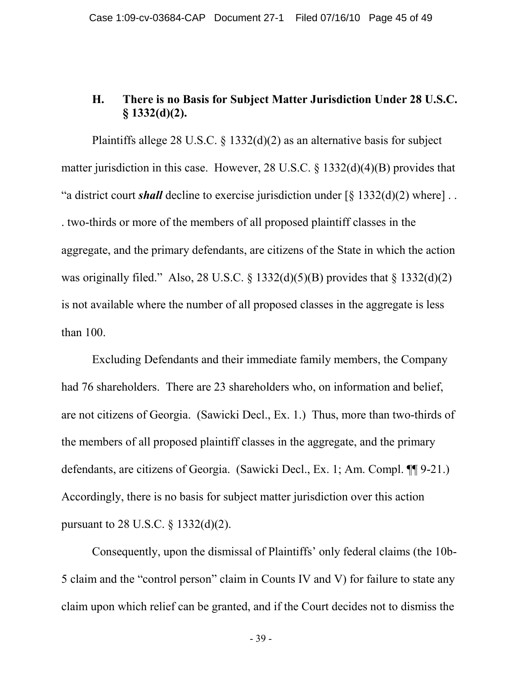### **H. There is no Basis for Subject Matter Jurisdiction Under 28 U.S.C. § 1332(d)(2).**

Plaintiffs allege 28 U.S.C.  $\S$  1332(d)(2) as an alternative basis for subject matter jurisdiction in this case. However, 28 U.S.C. § 1332(d)(4)(B) provides that "a district court *shall* decline to exercise jurisdiction under [§ 1332(d)(2) where] . . . two-thirds or more of the members of all proposed plaintiff classes in the aggregate, and the primary defendants, are citizens of the State in which the action was originally filed." Also, 28 U.S.C.  $\S$  1332(d)(5)(B) provides that  $\S$  1332(d)(2) is not available where the number of all proposed classes in the aggregate is less than 100.

Excluding Defendants and their immediate family members, the Company had 76 shareholders. There are 23 shareholders who, on information and belief, are not citizens of Georgia. (Sawicki Decl., Ex. 1.) Thus, more than two-thirds of the members of all proposed plaintiff classes in the aggregate, and the primary defendants, are citizens of Georgia. (Sawicki Decl., Ex. 1; Am. Compl. ¶¶ 9-21.) Accordingly, there is no basis for subject matter jurisdiction over this action pursuant to 28 U.S.C. § 1332(d)(2).

Consequently, upon the dismissal of Plaintiffs' only federal claims (the 10b-5 claim and the "control person" claim in Counts IV and V) for failure to state any claim upon which relief can be granted, and if the Court decides not to dismiss the

- 39 -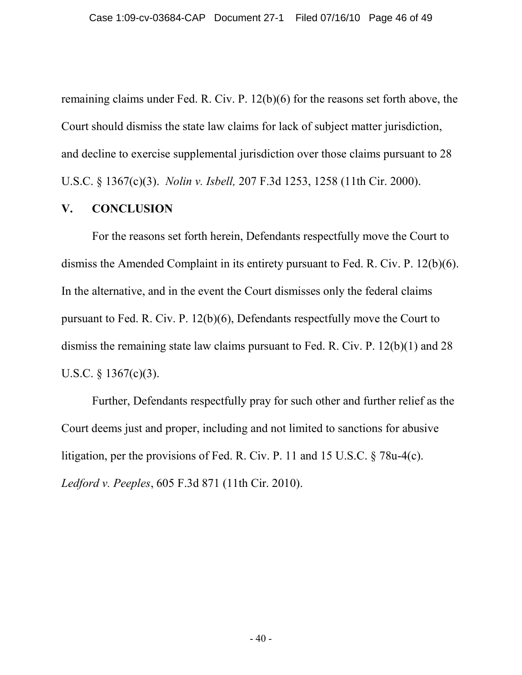remaining claims under Fed. R. Civ. P. 12(b)(6) for the reasons set forth above, the Court should dismiss the state law claims for lack of subject matter jurisdiction, and decline to exercise supplemental jurisdiction over those claims pursuant to 28 U.S.C. § 1367(c)(3). *Nolin v. Isbell,* [207 F.3d 1253, 1258 \(11th Cir. 2000\).](http://web2.westlaw.com/find/default.wl?tf=-1&rs=WLW10.06&referencepositiontype=S&serialnum=2000086103&fn=_top&sv=Split&referenceposition=1258&pbc=8C185141&tc=-1&ordoc=2021466071&findtype=Y&db=506&vr=2.0&rp=%2ffind%2fdefault.wl&mt=Westlaw)

#### **V. CONCLUSION**

For the reasons set forth herein, Defendants respectfully move the Court to dismiss the Amended Complaint in its entirety pursuant to Fed. R. Civ. P. 12(b)(6). In the alternative, and in the event the Court dismisses only the federal claims pursuant to Fed. R. Civ. P. 12(b)(6), Defendants respectfully move the Court to dismiss the remaining state law claims pursuant to Fed. R. Civ. P. 12(b)(1) and 28 U.S.C. § 1367(c)(3).

Further, Defendants respectfully pray for such other and further relief as the Court deems just and proper, including and not limited to sanctions for abusive litigation, per the provisions of Fed. R. Civ. P. 11 and 15 U.S.C. § 78u-4(c). *Ledford v. Peeples*, 605 F.3d 871 (11th Cir. 2010).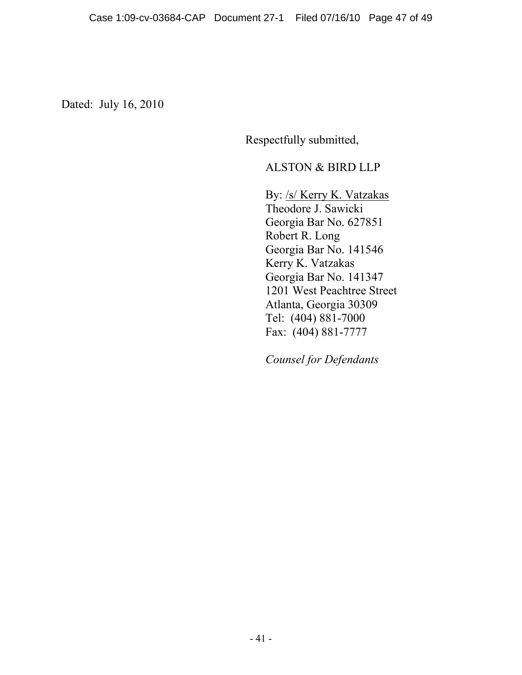Dated: July 16, 2010

Respectfully submitted,

#### ALSTON & BIRD LLP

By: /s/ Kerry K. Vatzakas Theodore J. Sawicki Georgia Bar No. 627851 Robert R. Long Georgia Bar No. 141546 Kerry K. Vatzakas Georgia Bar No. 141347 1201 West Peachtree Street Atlanta, Georgia 30309 Tel: (404) 881-7000 Fax: (404) 881-7777

*Counsel for Defendants*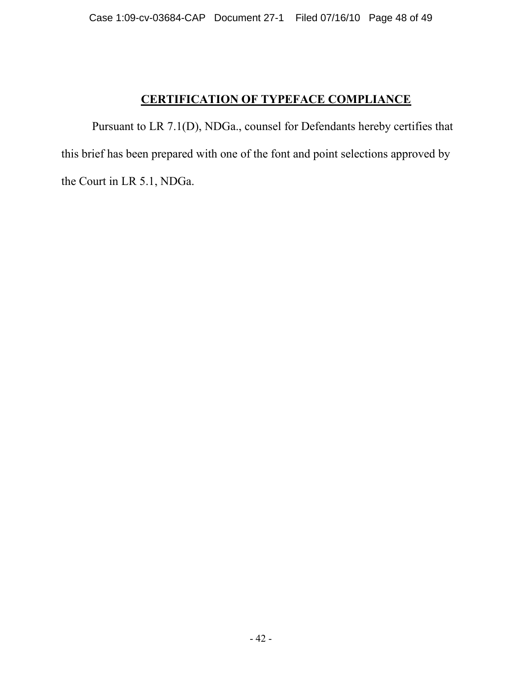# **CERTIFICATION OF TYPEFACE COMPLIANCE**

Pursuant to LR 7.1(D), NDGa., counsel for Defendants hereby certifies that this brief has been prepared with one of the font and point selections approved by the Court in LR 5.1, NDGa.